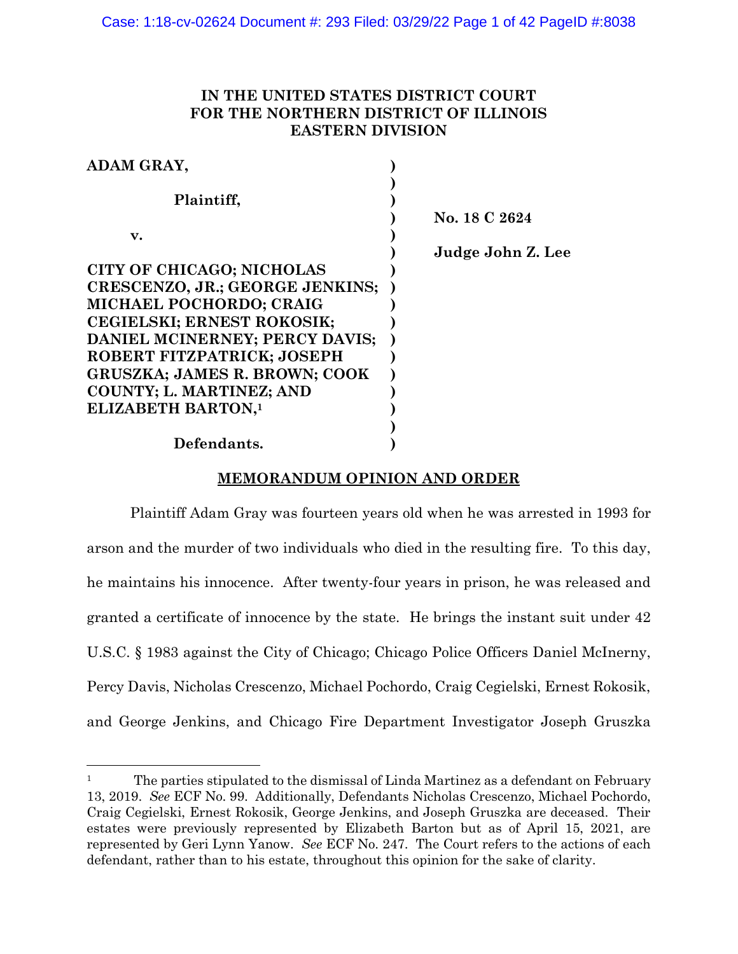# **IN THE UNITED STATES DISTRICT COURT FOR THE NORTHERN DISTRICT OF ILLINOIS EASTERN DIVISION**

| ADAM GRAY,                           |                   |
|--------------------------------------|-------------------|
| Plaintiff,                           |                   |
|                                      | No. 18 C 2624     |
| v.                                   |                   |
|                                      | Judge John Z. Lee |
| CITY OF CHICAGO; NICHOLAS            |                   |
| CRESCENZO, JR.; GEORGE JENKINS;      |                   |
| MICHAEL POCHORDO; CRAIG              |                   |
| CEGIELSKI; ERNEST ROKOSIK;           |                   |
| DANIEL MCINERNEY; PERCY DAVIS;       |                   |
| ROBERT FITZPATRICK; JOSEPH           |                   |
| <b>GRUSZKA; JAMES R. BROWN; COOK</b> |                   |
| COUNTY; L. MARTINEZ; AND             |                   |
| <b>ELIZABETH BARTON,1</b>            |                   |
|                                      |                   |
| Defendants.                          |                   |

# **MEMORANDUM OPINION AND ORDER**

Plaintiff Adam Gray was fourteen years old when he was arrested in 1993 for arson and the murder of two individuals who died in the resulting fire. To this day, he maintains his innocence. After twenty-four years in prison, he was released and granted a certificate of innocence by the state. He brings the instant suit under 42 U.S.C. § 1983 against the City of Chicago; Chicago Police Officers Daniel McInerny, Percy Davis, Nicholas Crescenzo, Michael Pochordo, Craig Cegielski, Ernest Rokosik, and George Jenkins, and Chicago Fire Department Investigator Joseph Gruszka

<sup>&</sup>lt;sup>1</sup> The parties stipulated to the dismissal of Linda Martinez as a defendant on February 13, 2019. *See* ECF No. 99. Additionally, Defendants Nicholas Crescenzo, Michael Pochordo, Craig Cegielski, Ernest Rokosik, George Jenkins, and Joseph Gruszka are deceased. Their estates were previously represented by Elizabeth Barton but as of April 15, 2021, are represented by Geri Lynn Yanow. *See* ECF No. 247. The Court refers to the actions of each defendant, rather than to his estate, throughout this opinion for the sake of clarity.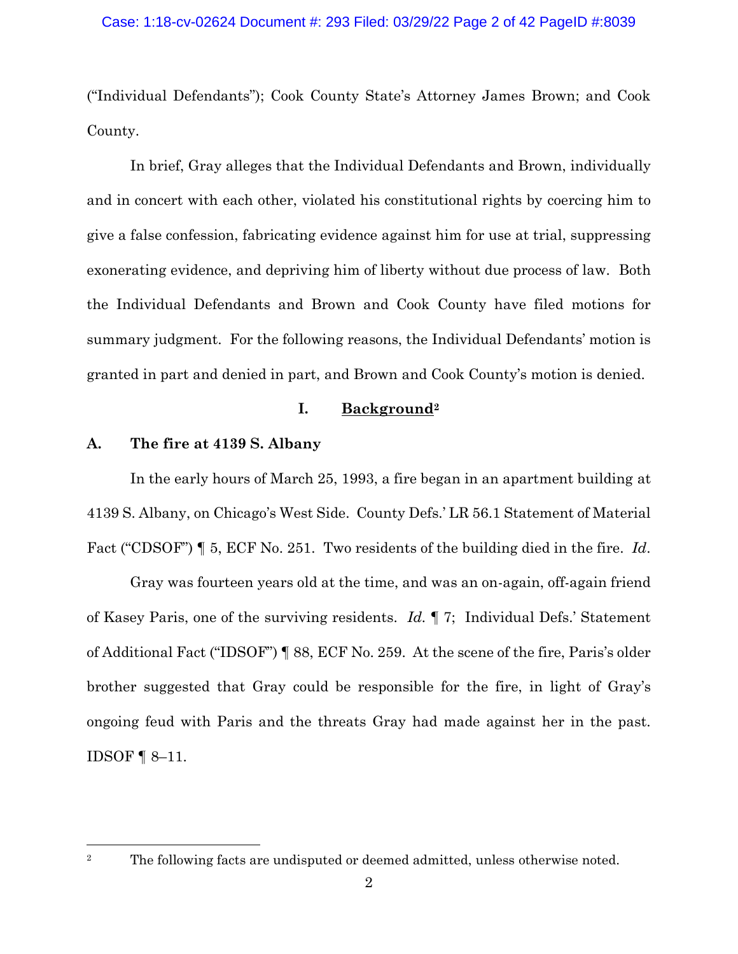("Individual Defendants"); Cook County State's Attorney James Brown; and Cook County.

In brief, Gray alleges that the Individual Defendants and Brown, individually and in concert with each other, violated his constitutional rights by coercing him to give a false confession, fabricating evidence against him for use at trial, suppressing exonerating evidence, and depriving him of liberty without due process of law. Both the Individual Defendants and Brown and Cook County have filed motions for summary judgment. For the following reasons, the Individual Defendants' motion is granted in part and denied in part, and Brown and Cook County's motion is denied.

### **I. Background<sup>2</sup>**

# **A. The fire at 4139 S. Albany**

In the early hours of March 25, 1993, a fire began in an apartment building at 4139 S. Albany, on Chicago's West Side. County Defs.' LR 56.1 Statement of Material Fact ("CDSOF") ¶ 5, ECF No. 251. Two residents of the building died in the fire. *Id*.

Gray was fourteen years old at the time, and was an on-again, off-again friend of Kasey Paris, one of the surviving residents. *Id.* ¶ 7; Individual Defs.' Statement of Additional Fact ("IDSOF") ¶ 88, ECF No. 259. At the scene of the fire, Paris's older brother suggested that Gray could be responsible for the fire, in light of Gray's ongoing feud with Paris and the threats Gray had made against her in the past. IDSOF ¶ 8–11.

<sup>&</sup>lt;sup>2</sup> The following facts are undisputed or deemed admitted, unless otherwise noted.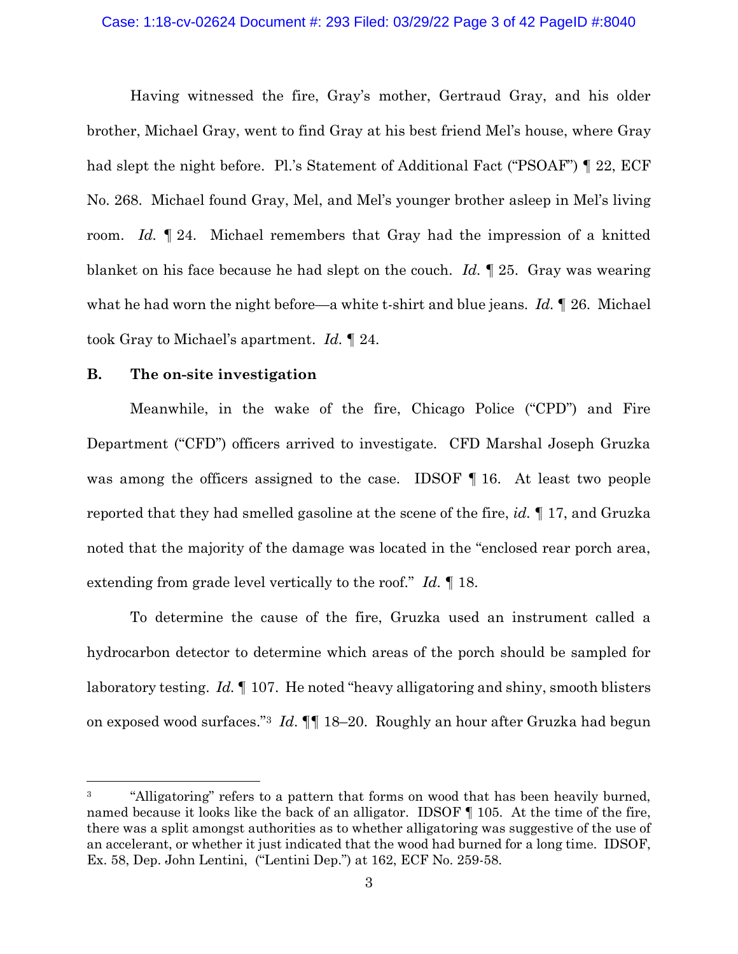Having witnessed the fire, Gray's mother, Gertraud Gray, and his older brother, Michael Gray, went to find Gray at his best friend Mel's house, where Gray had slept the night before. Pl.'s Statement of Additional Fact ("PSOAF") [22, ECF No. 268. Michael found Gray, Mel, and Mel's younger brother asleep in Mel's living room. *Id.* ¶ 24. Michael remembers that Gray had the impression of a knitted blanket on his face because he had slept on the couch. *Id.* ¶ 25. Gray was wearing what he had worn the night before—a white t-shirt and blue jeans. *Id.* ¶ 26. Michael took Gray to Michael's apartment. *Id.* ¶ 24.

### **B. The on-site investigation**

Meanwhile, in the wake of the fire, Chicago Police ("CPD") and Fire Department ("CFD") officers arrived to investigate. CFD Marshal Joseph Gruzka was among the officers assigned to the case. IDSOF 16. At least two people reported that they had smelled gasoline at the scene of the fire, *id.* ¶ 17, and Gruzka noted that the majority of the damage was located in the "enclosed rear porch area, extending from grade level vertically to the roof." *Id.* ¶ 18.

To determine the cause of the fire, Gruzka used an instrument called a hydrocarbon detector to determine which areas of the porch should be sampled for laboratory testing. *Id.* ¶ 107. He noted "heavy alligatoring and shiny, smooth blisters on exposed wood surfaces."<sup>3</sup> *Id*. ¶¶ 18–20. Roughly an hour after Gruzka had begun

<sup>&</sup>lt;sup>3</sup> "Alligatoring" refers to a pattern that forms on wood that has been heavily burned, named because it looks like the back of an alligator. IDSOF ¶ 105. At the time of the fire, there was a split amongst authorities as to whether alligatoring was suggestive of the use of an accelerant, or whether it just indicated that the wood had burned for a long time. IDSOF, Ex. 58, Dep. John Lentini, ("Lentini Dep.") at 162, ECF No. 259-58.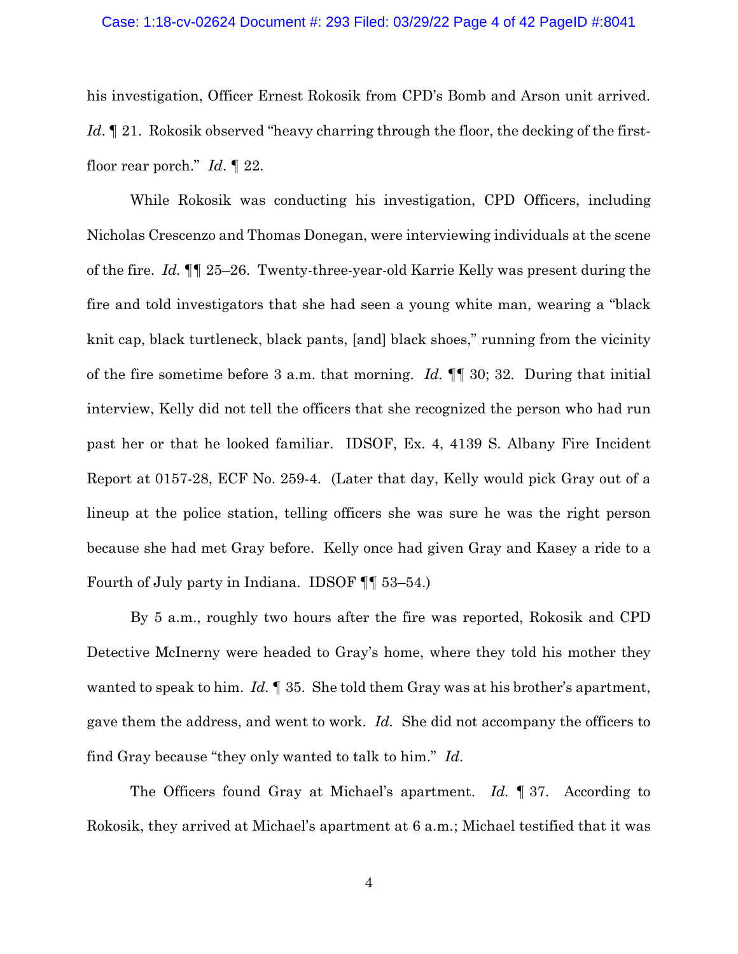his investigation, Officer Ernest Rokosik from CPD's Bomb and Arson unit arrived. *Id*. <u>If</u> 21. Rokosik observed "heavy charring through the floor, the decking of the firstfloor rear porch." *Id*. ¶ 22.

While Rokosik was conducting his investigation, CPD Officers, including Nicholas Crescenzo and Thomas Donegan, were interviewing individuals at the scene of the fire. *Id.* ¶¶ 25–26. Twenty-three-year-old Karrie Kelly was present during the fire and told investigators that she had seen a young white man, wearing a "black knit cap, black turtleneck, black pants, [and] black shoes," running from the vicinity of the fire sometime before 3 a.m. that morning. *Id.* ¶¶ 30; 32. During that initial interview, Kelly did not tell the officers that she recognized the person who had run past her or that he looked familiar. IDSOF, Ex. 4, 4139 S. Albany Fire Incident Report at 0157-28, ECF No. 259-4. (Later that day, Kelly would pick Gray out of a lineup at the police station, telling officers she was sure he was the right person because she had met Gray before. Kelly once had given Gray and Kasey a ride to a Fourth of July party in Indiana. IDSOF ¶¶ 53–54.)

By 5 a.m., roughly two hours after the fire was reported, Rokosik and CPD Detective McInerny were headed to Gray's home, where they told his mother they wanted to speak to him. *Id.* ¶ 35. She told them Gray was at his brother's apartment, gave them the address, and went to work. *Id.* She did not accompany the officers to find Gray because "they only wanted to talk to him." *Id*.

The Officers found Gray at Michael's apartment. *Id.* ¶ 37. According to Rokosik, they arrived at Michael's apartment at 6 a.m.; Michael testified that it was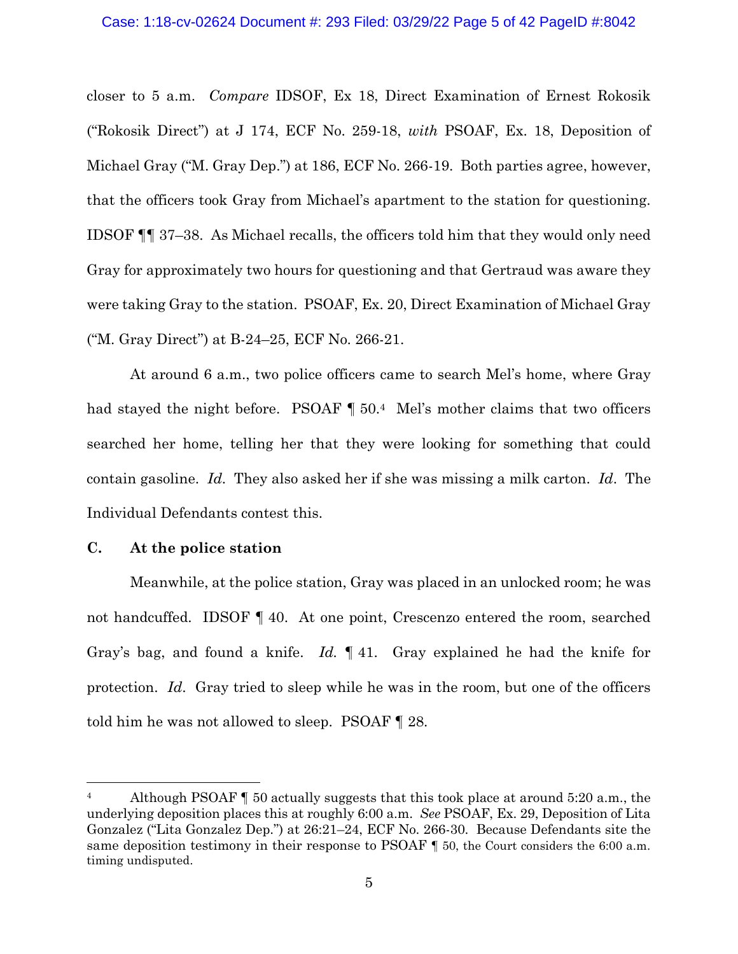#### Case: 1:18-cv-02624 Document #: 293 Filed: 03/29/22 Page 5 of 42 PageID #:8042

closer to 5 a.m. *Compare* IDSOF, Ex 18, Direct Examination of Ernest Rokosik ("Rokosik Direct") at J 174, ECF No. 259-18, *with* PSOAF, Ex. 18, Deposition of Michael Gray ("M. Gray Dep.") at 186, ECF No. 266-19. Both parties agree, however, that the officers took Gray from Michael's apartment to the station for questioning. IDSOF ¶¶ 37–38. As Michael recalls, the officers told him that they would only need Gray for approximately two hours for questioning and that Gertraud was aware they were taking Gray to the station. PSOAF, Ex. 20, Direct Examination of Michael Gray ("M. Gray Direct") at B-24–25, ECF No. 266-21.

At around 6 a.m., two police officers came to search Mel's home, where Gray had stayed the night before. PSOAF  $\P$  50.<sup>4</sup> Mel's mother claims that two officers searched her home, telling her that they were looking for something that could contain gasoline. *Id*. They also asked her if she was missing a milk carton. *Id*. The Individual Defendants contest this.

### **C. At the police station**

Meanwhile, at the police station, Gray was placed in an unlocked room; he was not handcuffed. IDSOF ¶ 40. At one point, Crescenzo entered the room, searched Gray's bag, and found a knife. *Id.* ¶ 41. Gray explained he had the knife for protection. *Id*. Gray tried to sleep while he was in the room, but one of the officers told him he was not allowed to sleep. PSOAF ¶ 28.

<sup>&</sup>lt;sup>4</sup> Although PSOAF **[4** 50 actually suggests that this took place at around 5:20 a.m., the underlying deposition places this at roughly 6:00 a.m. *See* PSOAF, Ex. 29, Deposition of Lita Gonzalez ("Lita Gonzalez Dep.") at 26:21–24, ECF No. 266-30. Because Defendants site the same deposition testimony in their response to PSOAF  $\parallel$  50, the Court considers the 6:00 a.m. timing undisputed.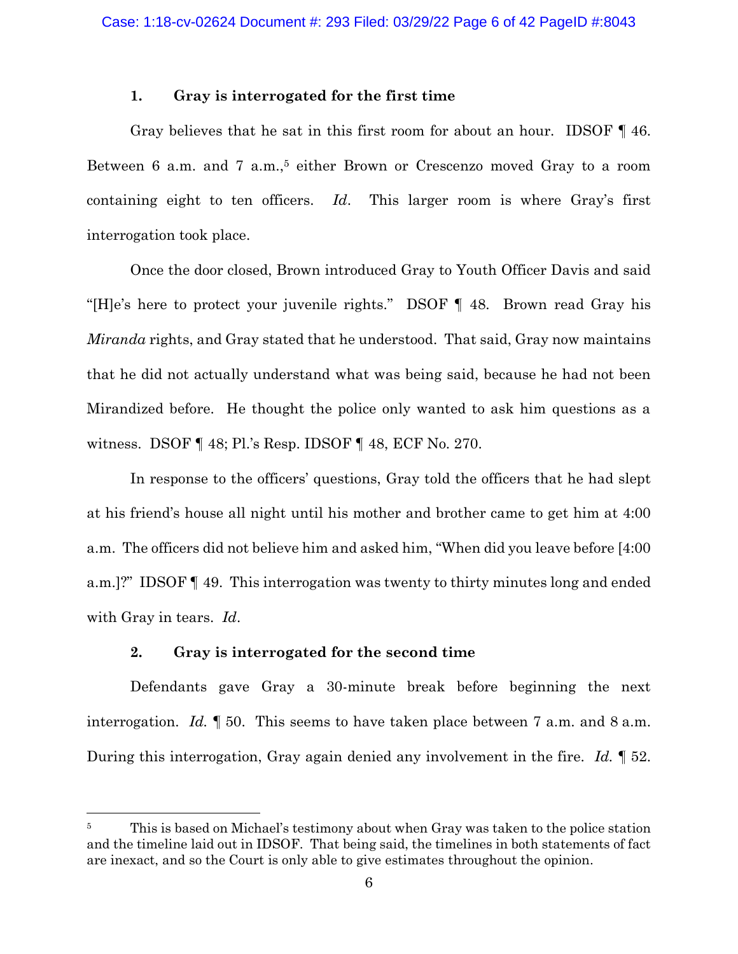## **1. Gray is interrogated for the first time**

Gray believes that he sat in this first room for about an hour. IDSOF ¶ 46. Between 6 a.m. and 7 a.m., <sup>5</sup> either Brown or Crescenzo moved Gray to a room containing eight to ten officers. *Id*. This larger room is where Gray's first interrogation took place.

Once the door closed, Brown introduced Gray to Youth Officer Davis and said "[H]e's here to protect your juvenile rights." DSOF ¶ 48. Brown read Gray his *Miranda* rights, and Gray stated that he understood. That said, Gray now maintains that he did not actually understand what was being said, because he had not been Mirandized before. He thought the police only wanted to ask him questions as a witness. DSOF ¶ 48; Pl.'s Resp. IDSOF ¶ 48, ECF No. 270.

In response to the officers' questions, Gray told the officers that he had slept at his friend's house all night until his mother and brother came to get him at 4:00 a.m. The officers did not believe him and asked him, "When did you leave before [4:00 a.m.]?" IDSOF ¶ 49. This interrogation was twenty to thirty minutes long and ended with Gray in tears. *Id*.

## **2. Gray is interrogated for the second time**

Defendants gave Gray a 30-minute break before beginning the next interrogation. *Id.* ¶ 50. This seems to have taken place between 7 a.m. and 8 a.m. During this interrogation, Gray again denied any involvement in the fire. *Id.* ¶ 52.

<sup>&</sup>lt;sup>5</sup> This is based on Michael's testimony about when Gray was taken to the police station and the timeline laid out in IDSOF. That being said, the timelines in both statements of fact are inexact, and so the Court is only able to give estimates throughout the opinion.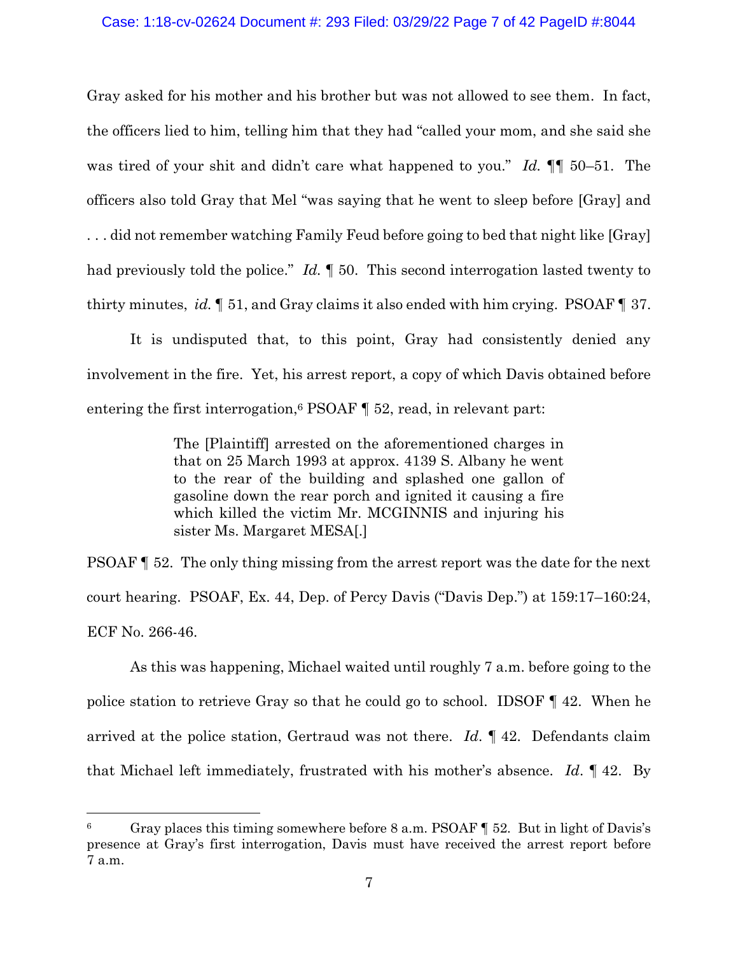### Case: 1:18-cv-02624 Document #: 293 Filed: 03/29/22 Page 7 of 42 PageID #:8044

Gray asked for his mother and his brother but was not allowed to see them. In fact, the officers lied to him, telling him that they had "called your mom, and she said she was tired of your shit and didn't care what happened to you." *Id.* ¶¶ 50–51. The officers also told Gray that Mel "was saying that he went to sleep before [Gray] and . . . did not remember watching Family Feud before going to bed that night like [Gray] had previously told the police." *Id.* 150. This second interrogation lasted twenty to thirty minutes, *id.* ¶ 51, and Gray claims it also ended with him crying. PSOAF ¶ 37.

It is undisputed that, to this point, Gray had consistently denied any involvement in the fire. Yet, his arrest report, a copy of which Davis obtained before entering the first interrogation, <sup>6</sup> PSOAF ¶ 52, read, in relevant part:

> The [Plaintiff] arrested on the aforementioned charges in that on 25 March 1993 at approx. 4139 S. Albany he went to the rear of the building and splashed one gallon of gasoline down the rear porch and ignited it causing a fire which killed the victim Mr. MCGINNIS and injuring his sister Ms. Margaret MESA[.]

PSOAF ¶ 52. The only thing missing from the arrest report was the date for the next court hearing. PSOAF, Ex. 44, Dep. of Percy Davis ("Davis Dep.") at 159:17–160:24, ECF No. 266-46.

As this was happening, Michael waited until roughly 7 a.m. before going to the police station to retrieve Gray so that he could go to school. IDSOF ¶ 42. When he arrived at the police station, Gertraud was not there. *Id*. ¶ 42. Defendants claim that Michael left immediately, frustrated with his mother's absence. *Id*. ¶ 42. By

<sup>6</sup> Gray places this timing somewhere before 8 a.m. PSOAF ¶ 52. But in light of Davis's presence at Gray's first interrogation, Davis must have received the arrest report before 7 a.m.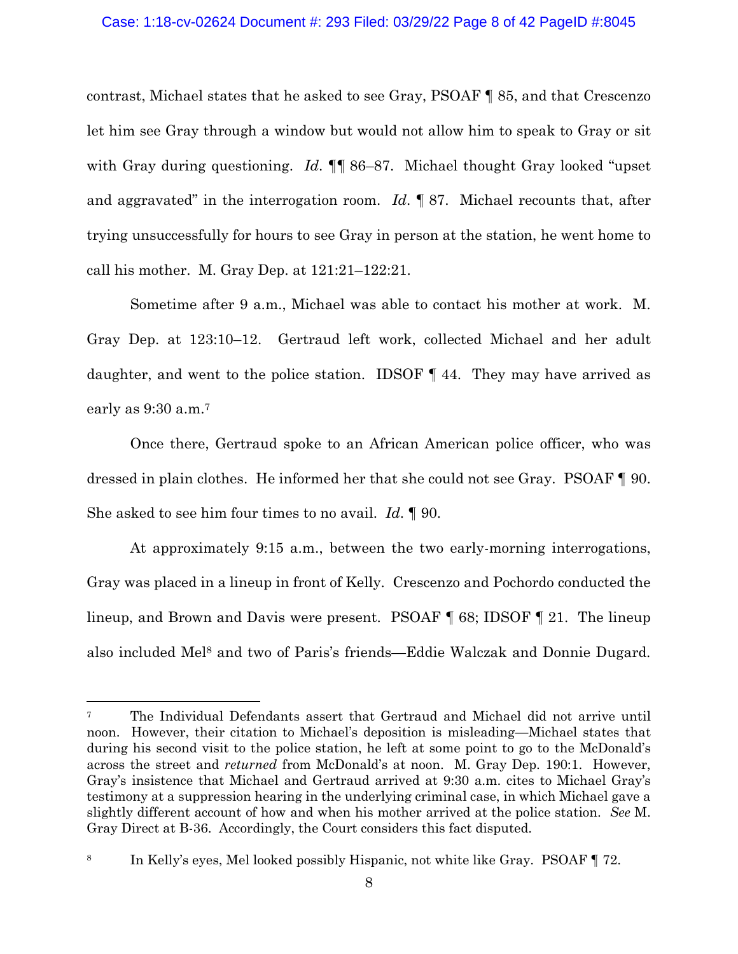### Case: 1:18-cv-02624 Document #: 293 Filed: 03/29/22 Page 8 of 42 PageID #:8045

contrast, Michael states that he asked to see Gray, PSOAF ¶ 85, and that Crescenzo let him see Gray through a window but would not allow him to speak to Gray or sit with Gray during questioning. *Id*. **[1]** 86–87. Michael thought Gray looked "upset" and aggravated" in the interrogation room. *Id*. ¶ 87. Michael recounts that, after trying unsuccessfully for hours to see Gray in person at the station, he went home to call his mother. M. Gray Dep. at 121:21–122:21.

Sometime after 9 a.m., Michael was able to contact his mother at work. M. Gray Dep. at 123:10–12. Gertraud left work, collected Michael and her adult daughter, and went to the police station. IDSOF ¶ 44. They may have arrived as early as 9:30 a.m.<sup>7</sup>

Once there, Gertraud spoke to an African American police officer, who was dressed in plain clothes. He informed her that she could not see Gray. PSOAF ¶ 90. She asked to see him four times to no avail. *Id*. ¶ 90.

At approximately 9:15 a.m., between the two early-morning interrogations, Gray was placed in a lineup in front of Kelly. Crescenzo and Pochordo conducted the lineup, and Brown and Davis were present. PSOAF ¶ 68; IDSOF ¶ 21. The lineup also included Mel<sup>8</sup> and two of Paris's friends—Eddie Walczak and Donnie Dugard.

<sup>7</sup> The Individual Defendants assert that Gertraud and Michael did not arrive until noon. However, their citation to Michael's deposition is misleading—Michael states that during his second visit to the police station, he left at some point to go to the McDonald's across the street and *returned* from McDonald's at noon. M. Gray Dep. 190:1. However, Gray's insistence that Michael and Gertraud arrived at 9:30 a.m. cites to Michael Gray's testimony at a suppression hearing in the underlying criminal case, in which Michael gave a slightly different account of how and when his mother arrived at the police station. *See* M. Gray Direct at B-36. Accordingly, the Court considers this fact disputed.

<sup>8</sup> In Kelly's eyes, Mel looked possibly Hispanic, not white like Gray. PSOAF ¶ 72.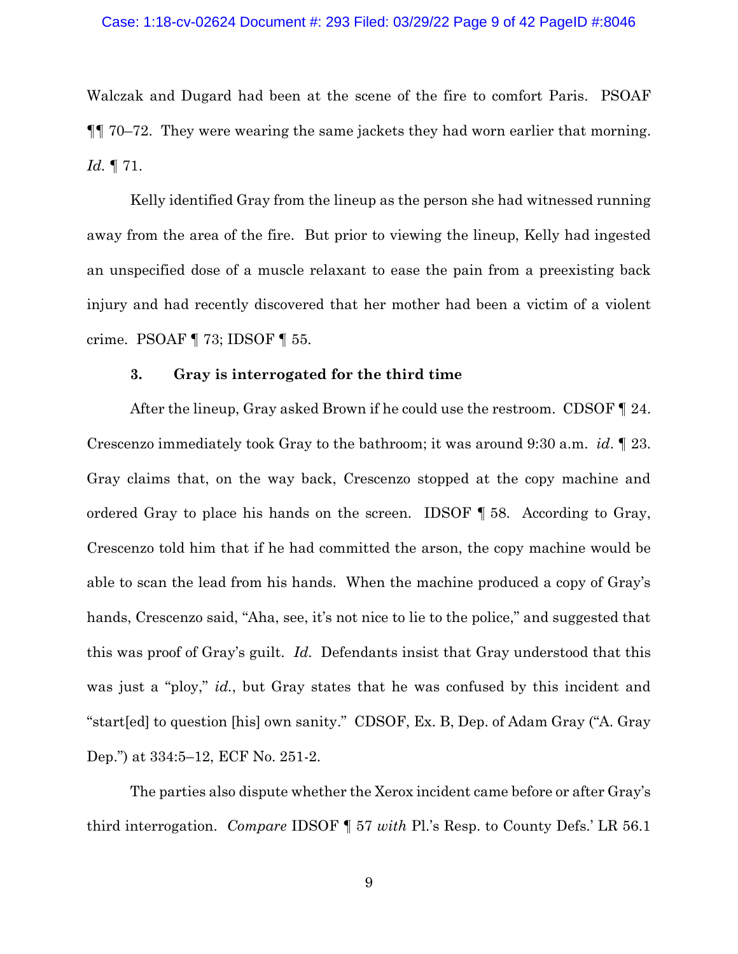#### Case: 1:18-cv-02624 Document #: 293 Filed: 03/29/22 Page 9 of 42 PageID #:8046

Walczak and Dugard had been at the scene of the fire to comfort Paris. PSOAF ¶¶ 70–72. They were wearing the same jackets they had worn earlier that morning. *Id.* ¶ 71.

Kelly identified Gray from the lineup as the person she had witnessed running away from the area of the fire. But prior to viewing the lineup, Kelly had ingested an unspecified dose of a muscle relaxant to ease the pain from a preexisting back injury and had recently discovered that her mother had been a victim of a violent crime. PSOAF ¶ 73; IDSOF ¶ 55.

#### **3. Gray is interrogated for the third time**

After the lineup, Gray asked Brown if he could use the restroom. CDSOF  $\P$  24. Crescenzo immediately took Gray to the bathroom; it was around 9:30 a.m. *id*. ¶ 23. Gray claims that, on the way back, Crescenzo stopped at the copy machine and ordered Gray to place his hands on the screen. IDSOF ¶ 58. According to Gray, Crescenzo told him that if he had committed the arson, the copy machine would be able to scan the lead from his hands. When the machine produced a copy of Gray's hands, Crescenzo said, "Aha, see, it's not nice to lie to the police," and suggested that this was proof of Gray's guilt. *Id*. Defendants insist that Gray understood that this was just a "ploy," *id.*, but Gray states that he was confused by this incident and "start[ed] to question [his] own sanity." CDSOF, Ex. B, Dep. of Adam Gray ("A. Gray Dep.") at 334:5–12, ECF No. 251-2.

The parties also dispute whether the Xerox incident came before or after Gray's third interrogation. *Compare* IDSOF ¶ 57 *with* Pl.'s Resp. to County Defs.' LR 56.1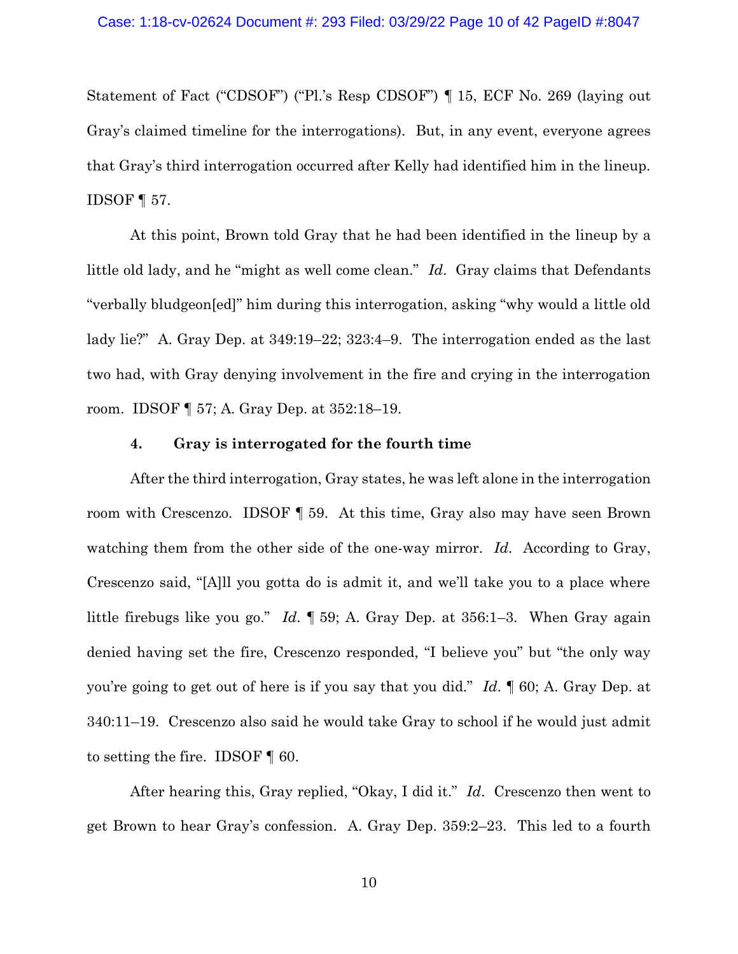Statement of Fact ("CDSOF") ("Pl.'s Resp CDSOF") ¶ 15, ECF No. 269 (laying out Gray's claimed timeline for the interrogations). But, in any event, everyone agrees that Gray's third interrogation occurred after Kelly had identified him in the lineup. IDSOF ¶ 57.

At this point, Brown told Gray that he had been identified in the lineup by a little old lady, and he "might as well come clean." *Id*. Gray claims that Defendants "verbally bludgeon[ed]" him during this interrogation, asking "why would a little old lady lie?" A. Gray Dep. at 349:19–22; 323:4–9. The interrogation ended as the last two had, with Gray denying involvement in the fire and crying in the interrogation room. IDSOF ¶ 57; A. Gray Dep. at 352:18–19.

## **4. Gray is interrogated for the fourth time**

After the third interrogation, Gray states, he was left alone in the interrogation room with Crescenzo. IDSOF ¶ 59. At this time, Gray also may have seen Brown watching them from the other side of the one-way mirror. *Id.* According to Gray, Crescenzo said, "[A]ll you gotta do is admit it, and we'll take you to a place where little firebugs like you go." *Id*. ¶ 59; A. Gray Dep. at 356:1–3. When Gray again denied having set the fire, Crescenzo responded, "I believe you" but "the only way you're going to get out of here is if you say that you did." *Id*. ¶ 60; A. Gray Dep. at 340:11–19. Crescenzo also said he would take Gray to school if he would just admit to setting the fire. IDSOF ¶ 60.

After hearing this, Gray replied, "Okay, I did it." *Id*. Crescenzo then went to get Brown to hear Gray's confession. A. Gray Dep. 359:2–23. This led to a fourth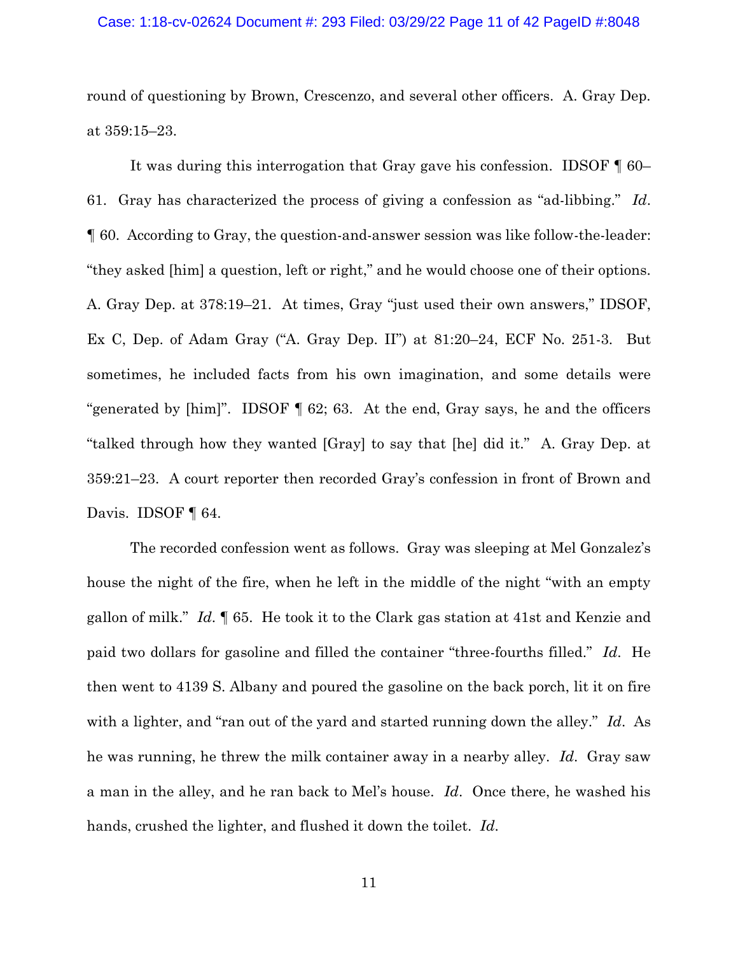#### Case: 1:18-cv-02624 Document #: 293 Filed: 03/29/22 Page 11 of 42 PageID #:8048

round of questioning by Brown, Crescenzo, and several other officers. A. Gray Dep. at 359:15–23.

It was during this interrogation that Gray gave his confession. IDSOF ¶ 60– 61. Gray has characterized the process of giving a confession as "ad-libbing." *Id*. ¶ 60. According to Gray, the question-and-answer session was like follow-the-leader: "they asked [him] a question, left or right," and he would choose one of their options. A. Gray Dep. at 378:19–21. At times, Gray "just used their own answers," IDSOF, Ex C, Dep. of Adam Gray ("A. Gray Dep. II") at 81:20–24, ECF No. 251-3. But sometimes, he included facts from his own imagination, and some details were "generated by [him]". IDSOF ¶ 62; 63. At the end, Gray says, he and the officers "talked through how they wanted [Gray] to say that [he] did it." A. Gray Dep. at 359:21–23. A court reporter then recorded Gray's confession in front of Brown and Davis. **IDSOF** 1 64.

The recorded confession went as follows. Gray was sleeping at Mel Gonzalez's house the night of the fire, when he left in the middle of the night "with an empty gallon of milk." *Id*. ¶ 65. He took it to the Clark gas station at 41st and Kenzie and paid two dollars for gasoline and filled the container "three-fourths filled." *Id*. He then went to 4139 S. Albany and poured the gasoline on the back porch, lit it on fire with a lighter, and "ran out of the yard and started running down the alley." *Id*. As he was running, he threw the milk container away in a nearby alley. *Id*. Gray saw a man in the alley, and he ran back to Mel's house. *Id*. Once there, he washed his hands, crushed the lighter, and flushed it down the toilet. *Id*.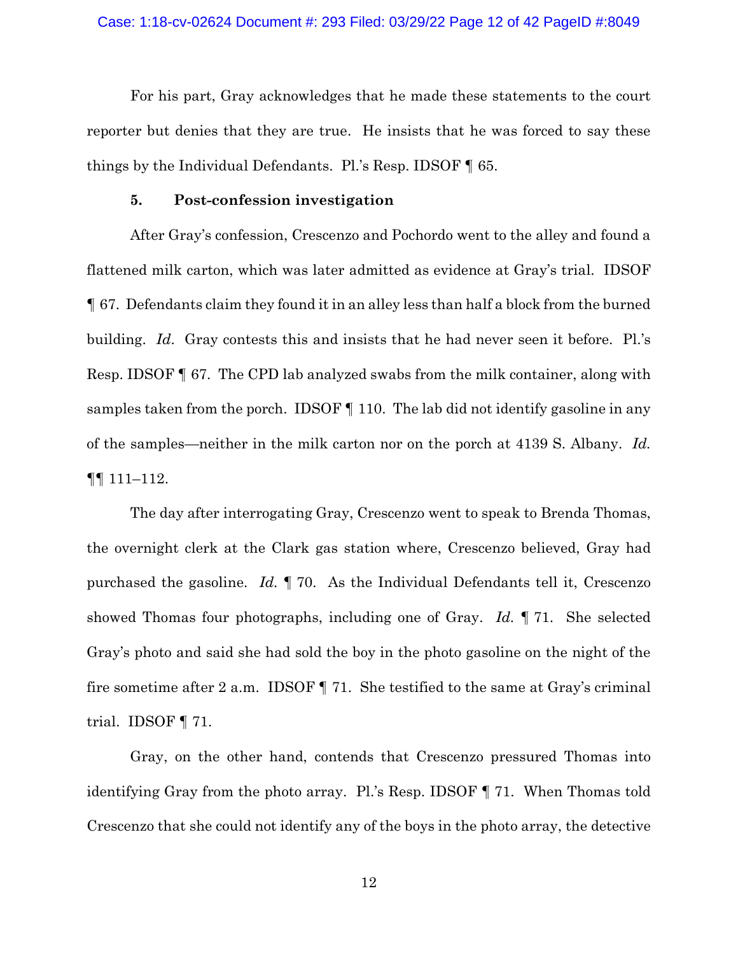For his part, Gray acknowledges that he made these statements to the court reporter but denies that they are true. He insists that he was forced to say these things by the Individual Defendants. Pl.'s Resp. IDSOF ¶ 65.

### **5. Post-confession investigation**

After Gray's confession, Crescenzo and Pochordo went to the alley and found a flattened milk carton, which was later admitted as evidence at Gray's trial. IDSOF ¶ 67. Defendants claim they found it in an alley less than half a block from the burned building. *Id*. Gray contests this and insists that he had never seen it before. Pl.'s Resp. IDSOF ¶ 67. The CPD lab analyzed swabs from the milk container, along with samples taken from the porch. IDSOF ¶ 110. The lab did not identify gasoline in any of the samples—neither in the milk carton nor on the porch at 4139 S. Albany. *Id.* ¶¶ 111–112.

The day after interrogating Gray, Crescenzo went to speak to Brenda Thomas, the overnight clerk at the Clark gas station where, Crescenzo believed, Gray had purchased the gasoline. *Id.* ¶ 70. As the Individual Defendants tell it, Crescenzo showed Thomas four photographs, including one of Gray. *Id.* ¶ 71. She selected Gray's photo and said she had sold the boy in the photo gasoline on the night of the fire sometime after 2 a.m. IDSOF ¶ 71. She testified to the same at Gray's criminal trial. IDSOF ¶ 71.

Gray, on the other hand, contends that Crescenzo pressured Thomas into identifying Gray from the photo array. Pl.'s Resp. IDSOF ¶ 71. When Thomas told Crescenzo that she could not identify any of the boys in the photo array, the detective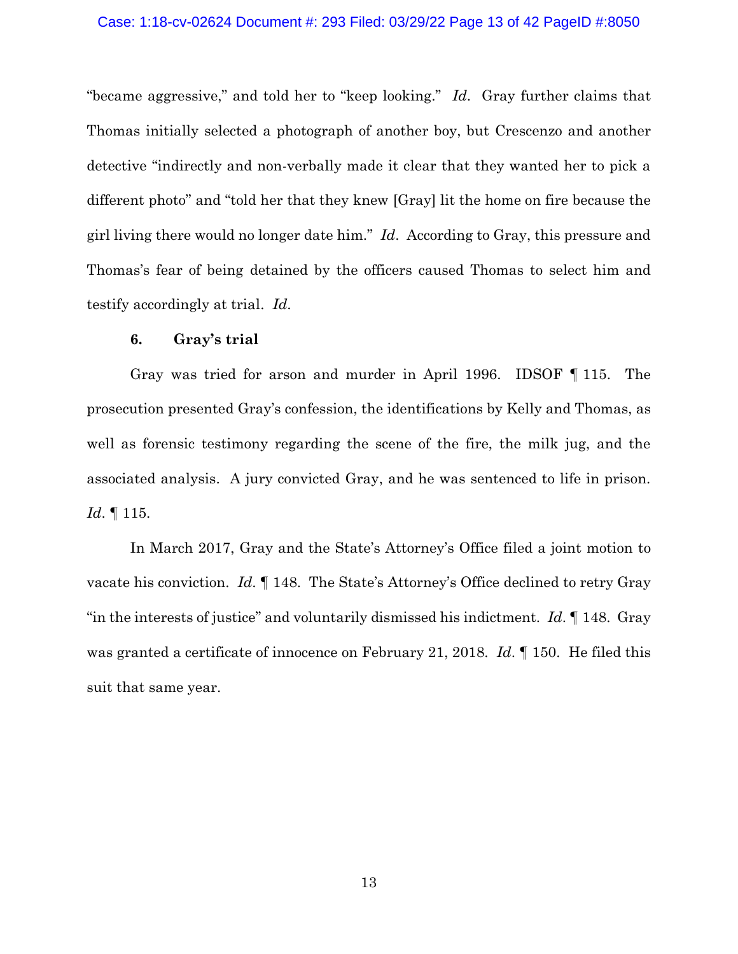#### Case: 1:18-cv-02624 Document #: 293 Filed: 03/29/22 Page 13 of 42 PageID #:8050

"became aggressive," and told her to "keep looking." *Id*. Gray further claims that Thomas initially selected a photograph of another boy, but Crescenzo and another detective "indirectly and non-verbally made it clear that they wanted her to pick a different photo" and "told her that they knew [Gray] lit the home on fire because the girl living there would no longer date him." *Id*. According to Gray, this pressure and Thomas's fear of being detained by the officers caused Thomas to select him and testify accordingly at trial. *Id*.

### **6. Gray's trial**

Gray was tried for arson and murder in April 1996. IDSOF ¶ 115. The prosecution presented Gray's confession, the identifications by Kelly and Thomas, as well as forensic testimony regarding the scene of the fire, the milk jug, and the associated analysis. A jury convicted Gray, and he was sentenced to life in prison. *Id*. ¶ 115.

In March 2017, Gray and the State's Attorney's Office filed a joint motion to vacate his conviction. *Id*. ¶ 148. The State's Attorney's Office declined to retry Gray "in the interests of justice" and voluntarily dismissed his indictment. *Id*. ¶ 148. Gray was granted a certificate of innocence on February 21, 2018. *Id*. ¶ 150. He filed this suit that same year.

13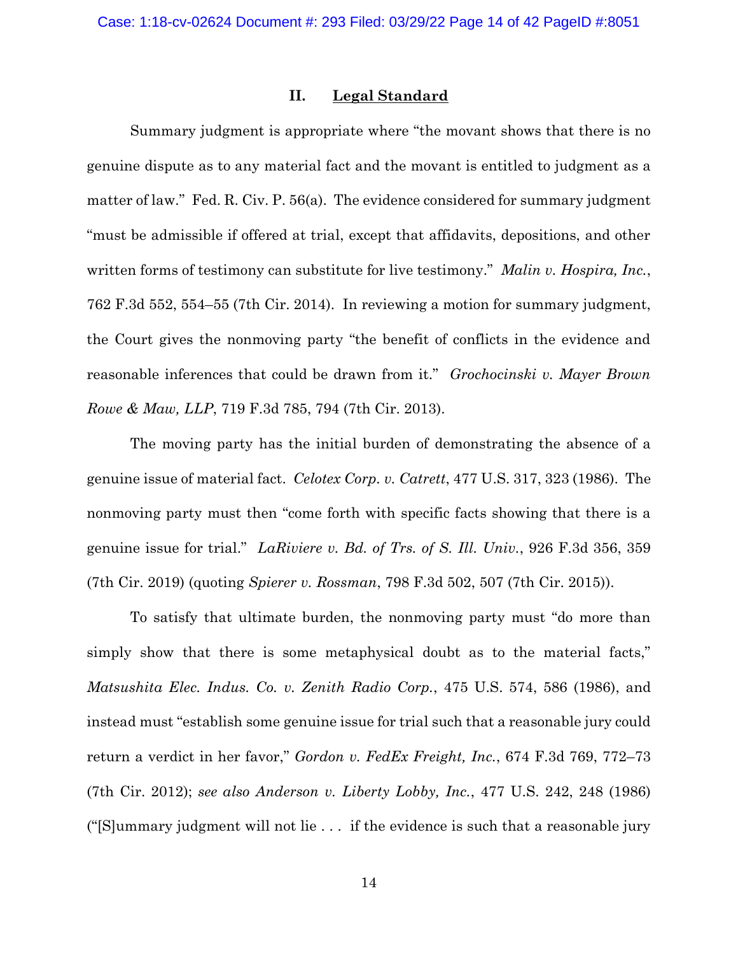### **II. Legal Standard**

Summary judgment is appropriate where "the movant shows that there is no genuine dispute as to any material fact and the movant is entitled to judgment as a matter of law." Fed. R. Civ. P. 56(a). The evidence considered for summary judgment "must be admissible if offered at trial, except that affidavits, depositions, and other written forms of testimony can substitute for live testimony." *Malin v. Hospira, Inc.*, 762 F.3d 552, 554–55 (7th Cir. 2014). In reviewing a motion for summary judgment, the Court gives the nonmoving party "the benefit of conflicts in the evidence and reasonable inferences that could be drawn from it." *Grochocinski v. Mayer Brown Rowe & Maw, LLP*, 719 F.3d 785, 794 (7th Cir. 2013).

The moving party has the initial burden of demonstrating the absence of a genuine issue of material fact. *Celotex Corp. v. Catrett*, 477 U.S. 317, 323 (1986). The nonmoving party must then "come forth with specific facts showing that there is a genuine issue for trial." *LaRiviere v. Bd. of Trs. of S. Ill. Univ.*, 926 F.3d 356, 359 (7th Cir. 2019) (quoting *Spierer v. Rossman*, 798 F.3d 502, 507 (7th Cir. 2015)).

To satisfy that ultimate burden, the nonmoving party must "do more than simply show that there is some metaphysical doubt as to the material facts," *Matsushita Elec. Indus. Co. v. Zenith Radio Corp.*, 475 U.S. 574, 586 (1986), and instead must "establish some genuine issue for trial such that a reasonable jury could return a verdict in her favor," *Gordon v. FedEx Freight, Inc.*, 674 F.3d 769, 772–73 (7th Cir. 2012); *see also Anderson v. Liberty Lobby, Inc.*, 477 U.S. 242, 248 (1986) ("[S]ummary judgment will not lie . . . if the evidence is such that a reasonable jury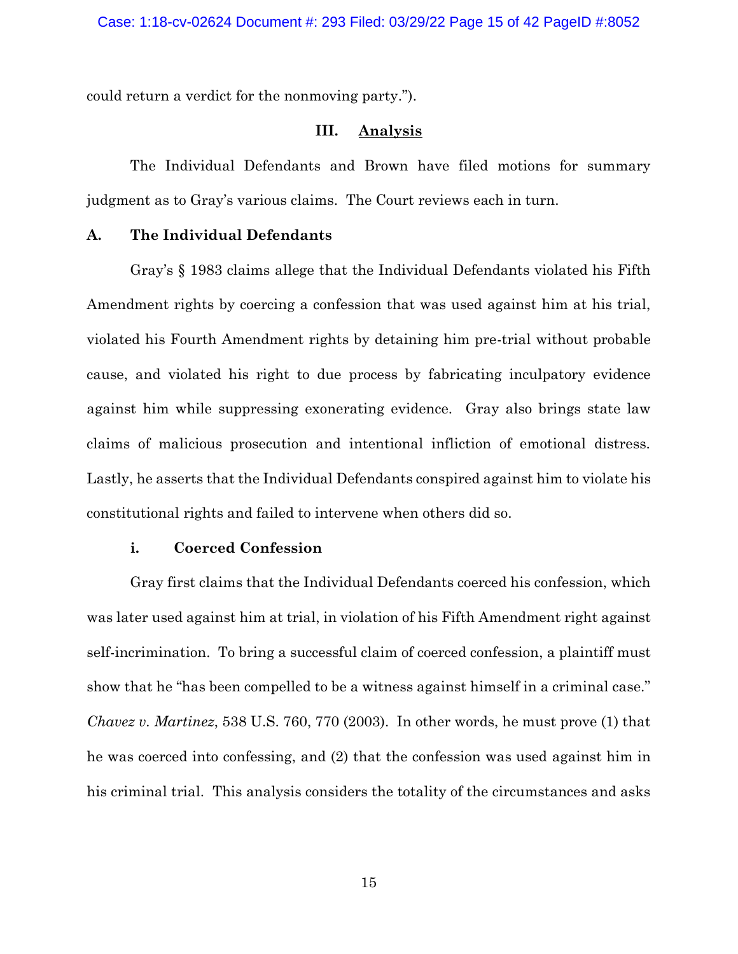could return a verdict for the nonmoving party.").

### **III. Analysis**

The Individual Defendants and Brown have filed motions for summary judgment as to Gray's various claims. The Court reviews each in turn.

### **A. The Individual Defendants**

Gray's § 1983 claims allege that the Individual Defendants violated his Fifth Amendment rights by coercing a confession that was used against him at his trial, violated his Fourth Amendment rights by detaining him pre-trial without probable cause, and violated his right to due process by fabricating inculpatory evidence against him while suppressing exonerating evidence. Gray also brings state law claims of malicious prosecution and intentional infliction of emotional distress. Lastly, he asserts that the Individual Defendants conspired against him to violate his constitutional rights and failed to intervene when others did so.

## **i. Coerced Confession**

Gray first claims that the Individual Defendants coerced his confession, which was later used against him at trial, in violation of his Fifth Amendment right against self-incrimination. To bring a successful claim of coerced confession, a plaintiff must show that he "has been compelled to be a witness against himself in a criminal case." *Chavez v. Martinez*, 538 U.S. 760, 770 (2003). In other words, he must prove (1) that he was coerced into confessing, and (2) that the confession was used against him in his criminal trial. This analysis considers the totality of the circumstances and asks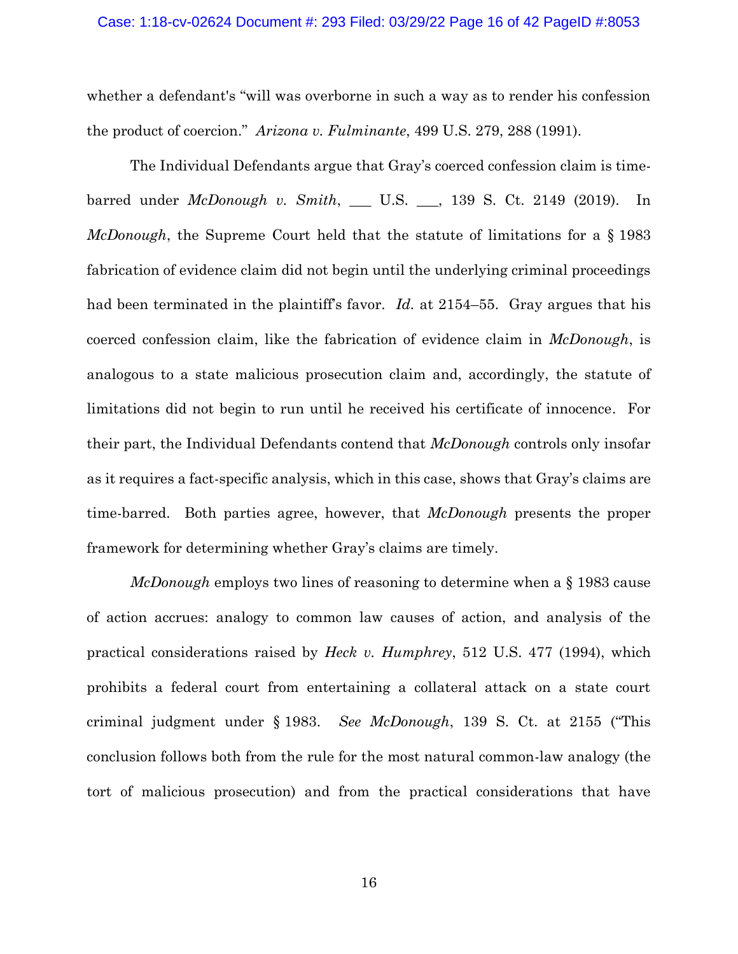#### Case: 1:18-cv-02624 Document #: 293 Filed: 03/29/22 Page 16 of 42 PageID #:8053

whether a defendant's "will was overborne in such a way as to render his confession the product of coercion." *Arizona v. Fulminante*, 499 U.S. 279, 288 (1991).

The Individual Defendants argue that Gray's coerced confession claim is timebarred under *McDonough v. Smith*, \_\_\_ U.S. \_\_\_, 139 S. Ct. 2149 (2019). In *McDonough*, the Supreme Court held that the statute of limitations for a § 1983 fabrication of evidence claim did not begin until the underlying criminal proceedings had been terminated in the plaintiff's favor. *Id.* at 2154–55. Gray argues that his coerced confession claim, like the fabrication of evidence claim in *McDonough*, is analogous to a state malicious prosecution claim and, accordingly, the statute of limitations did not begin to run until he received his certificate of innocence. For their part, the Individual Defendants contend that *McDonough* controls only insofar as it requires a fact-specific analysis, which in this case, shows that Gray's claims are time-barred. Both parties agree, however, that *McDonough* presents the proper framework for determining whether Gray's claims are timely.

*McDonough* employs two lines of reasoning to determine when a § 1983 cause of action accrues: analogy to common law causes of action, and analysis of the practical considerations raised by *Heck v. Humphrey*, 512 U.S. 477 (1994), which prohibits a federal court from entertaining a collateral attack on a state court criminal judgment under § 1983. *See McDonough*, 139 S. Ct. at 2155 ("This conclusion follows both from the rule for the most natural common-law analogy (the tort of malicious prosecution) and from the practical considerations that have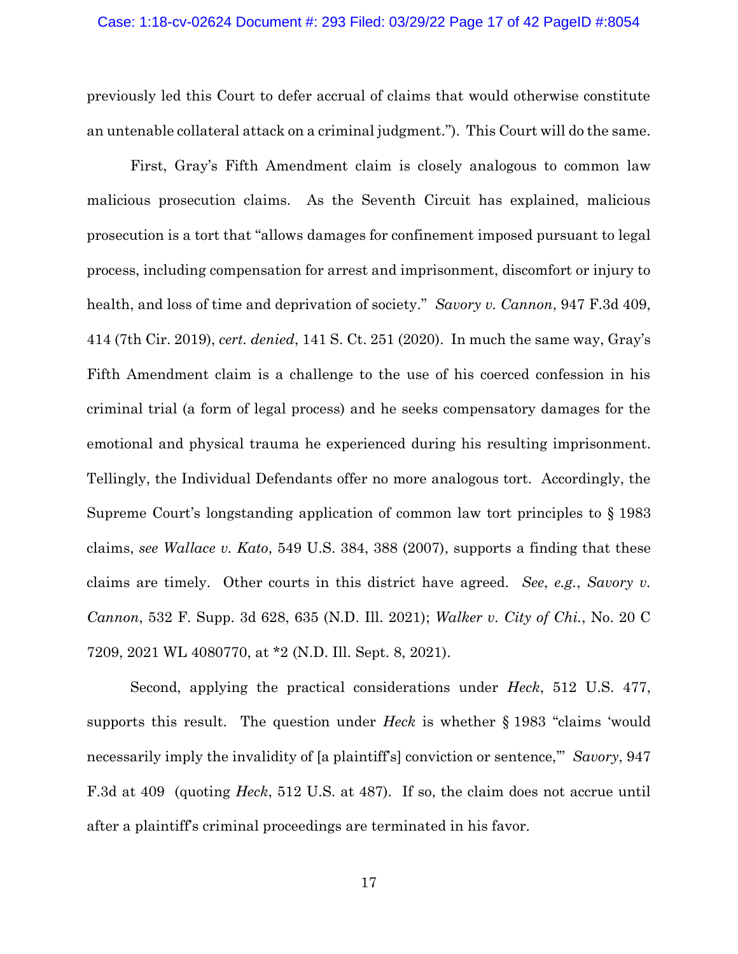previously led this Court to defer accrual of claims that would otherwise constitute an untenable collateral attack on a criminal judgment."). This Court will do the same.

First, Gray's Fifth Amendment claim is closely analogous to common law malicious prosecution claims. As the Seventh Circuit has explained, malicious prosecution is a tort that "allows damages for confinement imposed pursuant to legal process, including compensation for arrest and imprisonment, discomfort or injury to health, and loss of time and deprivation of society." *Savory v. Cannon*, 947 F.3d 409, 414 (7th Cir. 2019), *cert. denied*, 141 S. Ct. 251 (2020). In much the same way, Gray's Fifth Amendment claim is a challenge to the use of his coerced confession in his criminal trial (a form of legal process) and he seeks compensatory damages for the emotional and physical trauma he experienced during his resulting imprisonment. Tellingly, the Individual Defendants offer no more analogous tort. Accordingly, the Supreme Court's longstanding application of common law tort principles to § 1983 claims, *see Wallace v. Kato*, 549 U.S. 384, 388 (2007), supports a finding that these claims are timely. Other courts in this district have agreed. *See*, *e.g.*, *Savory v. Cannon*, 532 F. Supp. 3d 628, 635 (N.D. Ill. 2021); *Walker v. City of Chi.*, No. 20 C 7209, 2021 WL 4080770, at \*2 (N.D. Ill. Sept. 8, 2021).

Second, applying the practical considerations under *Heck*, 512 U.S. 477, supports this result. The question under *Heck* is whether § 1983 "claims 'would necessarily imply the invalidity of [a plaintiff's] conviction or sentence,'" *Savory*, 947 F.3d at 409 (quoting *Heck*, 512 U.S. at 487). If so, the claim does not accrue until after a plaintiff's criminal proceedings are terminated in his favor.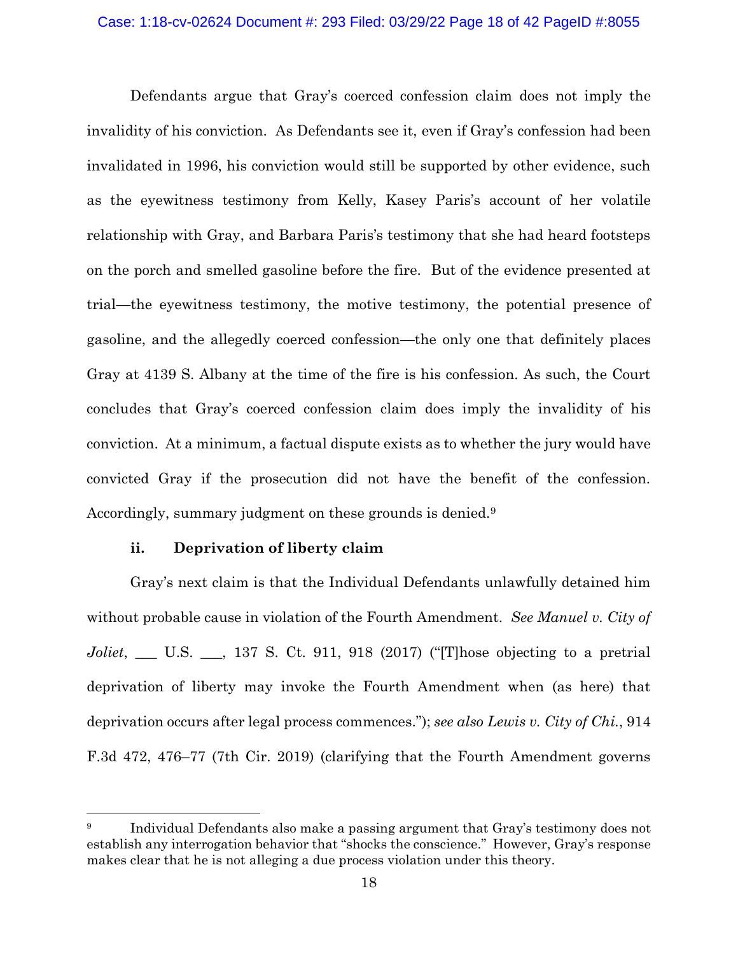### Case: 1:18-cv-02624 Document #: 293 Filed: 03/29/22 Page 18 of 42 PageID #:8055

Defendants argue that Gray's coerced confession claim does not imply the invalidity of his conviction. As Defendants see it, even if Gray's confession had been invalidated in 1996, his conviction would still be supported by other evidence, such as the eyewitness testimony from Kelly, Kasey Paris's account of her volatile relationship with Gray, and Barbara Paris's testimony that she had heard footsteps on the porch and smelled gasoline before the fire. But of the evidence presented at trial—the eyewitness testimony, the motive testimony, the potential presence of gasoline, and the allegedly coerced confession—the only one that definitely places Gray at 4139 S. Albany at the time of the fire is his confession. As such, the Court concludes that Gray's coerced confession claim does imply the invalidity of his conviction. At a minimum, a factual dispute exists as to whether the jury would have convicted Gray if the prosecution did not have the benefit of the confession. Accordingly, summary judgment on these grounds is denied. 9

### **ii. Deprivation of liberty claim**

Gray's next claim is that the Individual Defendants unlawfully detained him without probable cause in violation of the Fourth Amendment. *See Manuel v. City of Joliet*, \_\_\_ U.S. \_\_\_, 137 S. Ct. 911, 918 (2017) ("[T]hose objecting to a pretrial deprivation of liberty may invoke the Fourth Amendment when (as here) that deprivation occurs after legal process commences."); *see also Lewis v. City of Chi.*, 914 F.3d 472, 476–77 (7th Cir. 2019) (clarifying that the Fourth Amendment governs

<sup>&</sup>lt;sup>9</sup> Individual Defendants also make a passing argument that Gray's testimony does not establish any interrogation behavior that "shocks the conscience." However, Gray's response makes clear that he is not alleging a due process violation under this theory.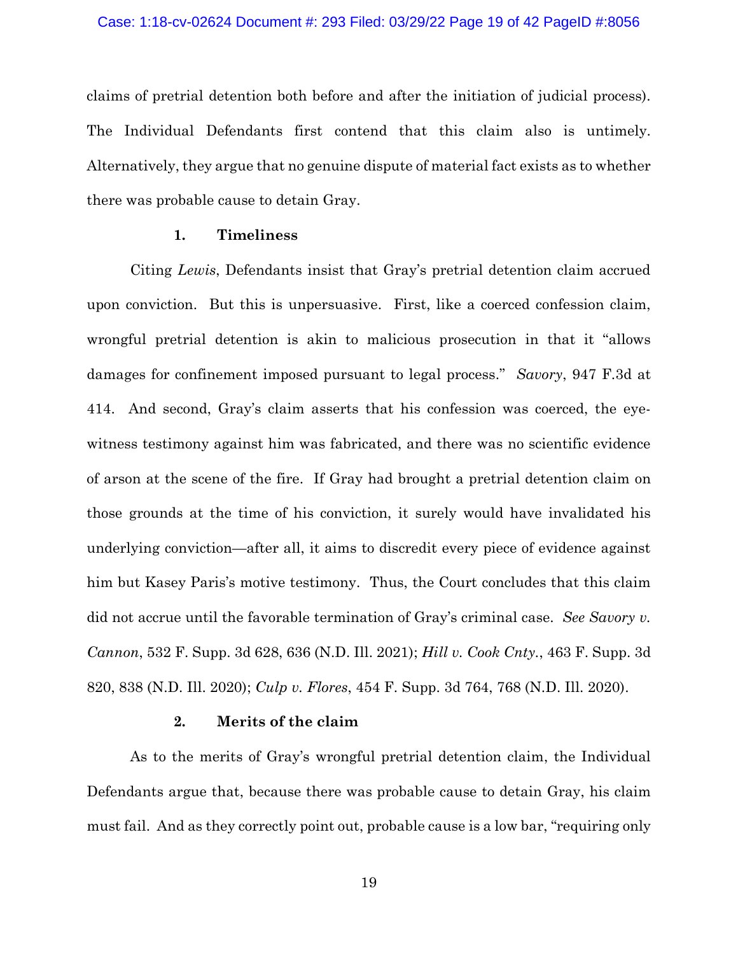claims of pretrial detention both before and after the initiation of judicial process). The Individual Defendants first contend that this claim also is untimely. Alternatively, they argue that no genuine dispute of material fact exists as to whether there was probable cause to detain Gray.

### **1. Timeliness**

Citing *Lewis*, Defendants insist that Gray's pretrial detention claim accrued upon conviction. But this is unpersuasive. First, like a coerced confession claim, wrongful pretrial detention is akin to malicious prosecution in that it "allows damages for confinement imposed pursuant to legal process." *Savory*, 947 F.3d at 414. And second, Gray's claim asserts that his confession was coerced, the eyewitness testimony against him was fabricated, and there was no scientific evidence of arson at the scene of the fire. If Gray had brought a pretrial detention claim on those grounds at the time of his conviction, it surely would have invalidated his underlying conviction—after all, it aims to discredit every piece of evidence against him but Kasey Paris's motive testimony. Thus, the Court concludes that this claim did not accrue until the favorable termination of Gray's criminal case. *See Savory v. Cannon*, 532 F. Supp. 3d 628, 636 (N.D. Ill. 2021); *Hill v. Cook Cnty.*, 463 F. Supp. 3d 820, 838 (N.D. Ill. 2020); *Culp v. Flores*, 454 F. Supp. 3d 764, 768 (N.D. Ill. 2020).

### **2. Merits of the claim**

As to the merits of Gray's wrongful pretrial detention claim, the Individual Defendants argue that, because there was probable cause to detain Gray, his claim must fail. And as they correctly point out, probable cause is a low bar, "requiring only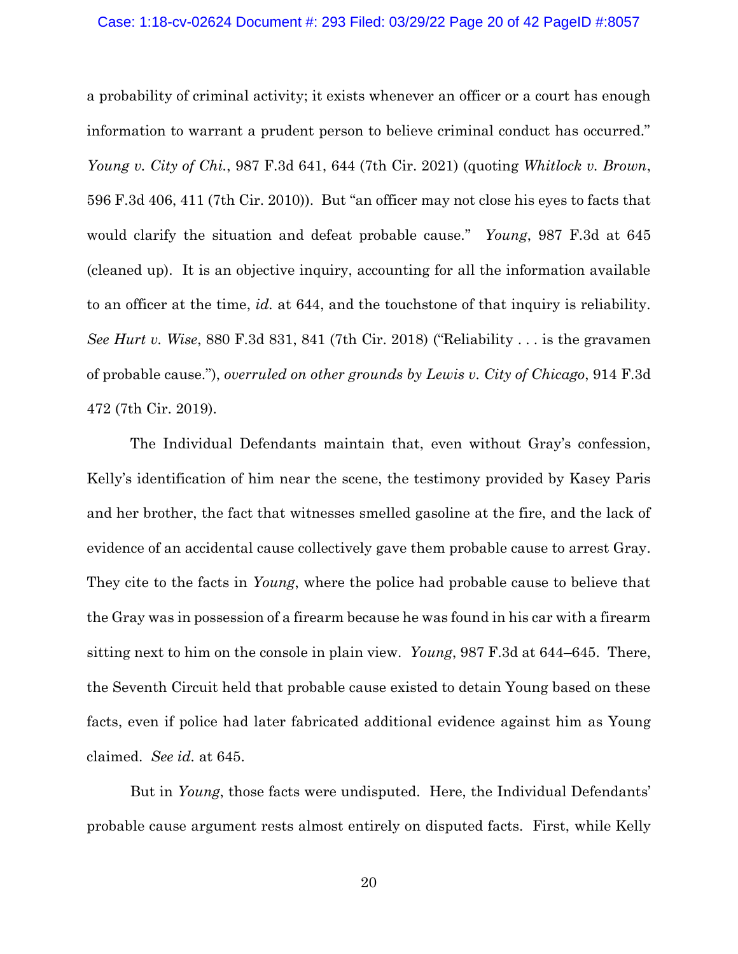#### Case: 1:18-cv-02624 Document #: 293 Filed: 03/29/22 Page 20 of 42 PageID #:8057

a probability of criminal activity; it exists whenever an officer or a court has enough information to warrant a prudent person to believe criminal conduct has occurred." *Young v. City of Chi.*, 987 F.3d 641, 644 (7th Cir. 2021) (quoting *Whitlock v. Brown*, 596 F.3d 406, 411 (7th Cir. 2010)). But "an officer may not close his eyes to facts that would clarify the situation and defeat probable cause." *Young*, 987 F.3d at 645 (cleaned up). It is an objective inquiry, accounting for all the information available to an officer at the time, *id.* at 644, and the touchstone of that inquiry is reliability. *See Hurt v. Wise*, 880 F.3d 831, 841 (7th Cir. 2018) ("Reliability . . . is the gravamen of probable cause."), *overruled on other grounds by Lewis v. City of Chicago*, 914 F.3d 472 (7th Cir. 2019).

The Individual Defendants maintain that, even without Gray's confession, Kelly's identification of him near the scene, the testimony provided by Kasey Paris and her brother, the fact that witnesses smelled gasoline at the fire, and the lack of evidence of an accidental cause collectively gave them probable cause to arrest Gray. They cite to the facts in *Young*, where the police had probable cause to believe that the Gray was in possession of a firearm because he was found in his car with a firearm sitting next to him on the console in plain view. *Young*, 987 F.3d at 644–645. There, the Seventh Circuit held that probable cause existed to detain Young based on these facts, even if police had later fabricated additional evidence against him as Young claimed. *See id.* at 645.

But in *Young*, those facts were undisputed. Here, the Individual Defendants' probable cause argument rests almost entirely on disputed facts. First, while Kelly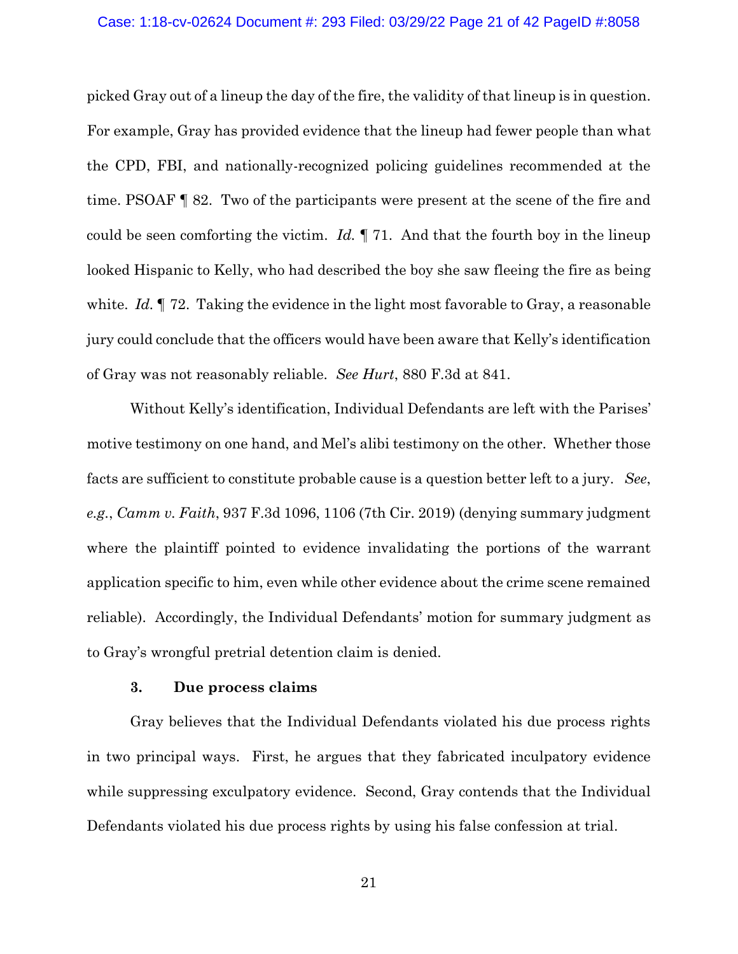#### Case: 1:18-cv-02624 Document #: 293 Filed: 03/29/22 Page 21 of 42 PageID #:8058

picked Gray out of a lineup the day of the fire, the validity of that lineup is in question. For example, Gray has provided evidence that the lineup had fewer people than what the CPD, FBI, and nationally-recognized policing guidelines recommended at the time. PSOAF ¶ 82. Two of the participants were present at the scene of the fire and could be seen comforting the victim. *Id.* ¶ 71. And that the fourth boy in the lineup looked Hispanic to Kelly, who had described the boy she saw fleeing the fire as being white. *Id.* **[4]** 72. Taking the evidence in the light most favorable to Gray, a reasonable jury could conclude that the officers would have been aware that Kelly's identification of Gray was not reasonably reliable. *See Hurt*, 880 F.3d at 841.

Without Kelly's identification, Individual Defendants are left with the Parises' motive testimony on one hand, and Mel's alibi testimony on the other. Whether those facts are sufficient to constitute probable cause is a question better left to a jury. *See*, *e.g.*, *Camm v. Faith*, 937 F.3d 1096, 1106 (7th Cir. 2019) (denying summary judgment where the plaintiff pointed to evidence invalidating the portions of the warrant application specific to him, even while other evidence about the crime scene remained reliable). Accordingly, the Individual Defendants' motion for summary judgment as to Gray's wrongful pretrial detention claim is denied.

### **3. Due process claims**

Gray believes that the Individual Defendants violated his due process rights in two principal ways. First, he argues that they fabricated inculpatory evidence while suppressing exculpatory evidence. Second, Gray contends that the Individual Defendants violated his due process rights by using his false confession at trial.

21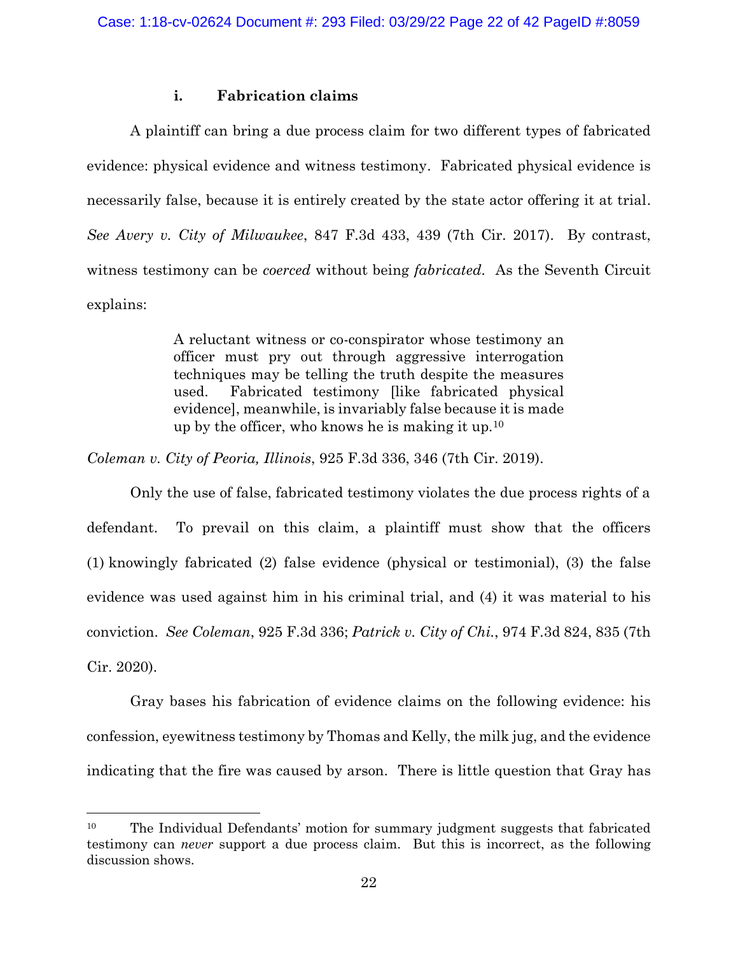## **i. Fabrication claims**

A plaintiff can bring a due process claim for two different types of fabricated evidence: physical evidence and witness testimony. Fabricated physical evidence is necessarily false, because it is entirely created by the state actor offering it at trial. *See Avery v. City of Milwaukee*, 847 F.3d 433, 439 (7th Cir. 2017). By contrast, witness testimony can be *coerced* without being *fabricated*. As the Seventh Circuit explains:

> A reluctant witness or co-conspirator whose testimony an officer must pry out through aggressive interrogation techniques may be telling the truth despite the measures used. Fabricated testimony [like fabricated physical evidence], meanwhile, is invariably false because it is made up by the officer, who knows he is making it up.<sup>10</sup>

*Coleman v. City of Peoria, Illinois*, 925 F.3d 336, 346 (7th Cir. 2019).

Only the use of false, fabricated testimony violates the due process rights of a defendant. To prevail on this claim, a plaintiff must show that the officers (1) knowingly fabricated (2) false evidence (physical or testimonial), (3) the false evidence was used against him in his criminal trial, and (4) it was material to his conviction. *See Coleman*, 925 F.3d 336; *Patrick v. City of Chi.*, 974 F.3d 824, 835 (7th Cir. 2020).

Gray bases his fabrication of evidence claims on the following evidence: his confession, eyewitness testimony by Thomas and Kelly, the milk jug, and the evidence indicating that the fire was caused by arson. There is little question that Gray has

<sup>10</sup> The Individual Defendants' motion for summary judgment suggests that fabricated testimony can *never* support a due process claim. But this is incorrect, as the following discussion shows.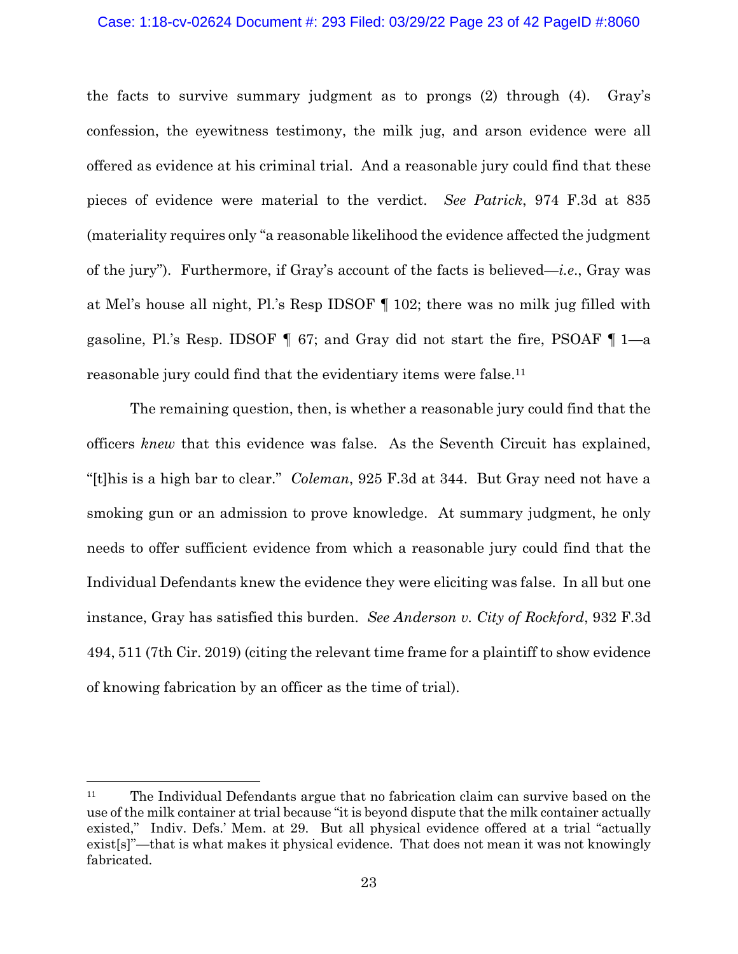#### Case: 1:18-cv-02624 Document #: 293 Filed: 03/29/22 Page 23 of 42 PageID #:8060

the facts to survive summary judgment as to prongs (2) through (4). Gray's confession, the eyewitness testimony, the milk jug, and arson evidence were all offered as evidence at his criminal trial. And a reasonable jury could find that these pieces of evidence were material to the verdict. *See Patrick*, 974 F.3d at 835 (materiality requires only "a reasonable likelihood the evidence affected the judgment of the jury"). Furthermore, if Gray's account of the facts is believed*—i.e*., Gray was at Mel's house all night, Pl.'s Resp IDSOF ¶ 102; there was no milk jug filled with gasoline, Pl.'s Resp. IDSOF  $\P$  67; and Gray did not start the fire, PSOAF  $\P$  1—a reasonable jury could find that the evidentiary items were false.<sup>11</sup>

The remaining question, then, is whether a reasonable jury could find that the officers *knew* that this evidence was false. As the Seventh Circuit has explained, "[t]his is a high bar to clear." *Coleman*, 925 F.3d at 344. But Gray need not have a smoking gun or an admission to prove knowledge. At summary judgment, he only needs to offer sufficient evidence from which a reasonable jury could find that the Individual Defendants knew the evidence they were eliciting was false. In all but one instance, Gray has satisfied this burden. *See Anderson v. City of Rockford*, 932 F.3d 494, 511 (7th Cir. 2019) (citing the relevant time frame for a plaintiff to show evidence of knowing fabrication by an officer as the time of trial).

<sup>&</sup>lt;sup>11</sup> The Individual Defendants argue that no fabrication claim can survive based on the use of the milk container at trial because "it is beyond dispute that the milk container actually existed," Indiv. Defs.' Mem. at 29. But all physical evidence offered at a trial "actually exist[s]"—that is what makes it physical evidence. That does not mean it was not knowingly fabricated.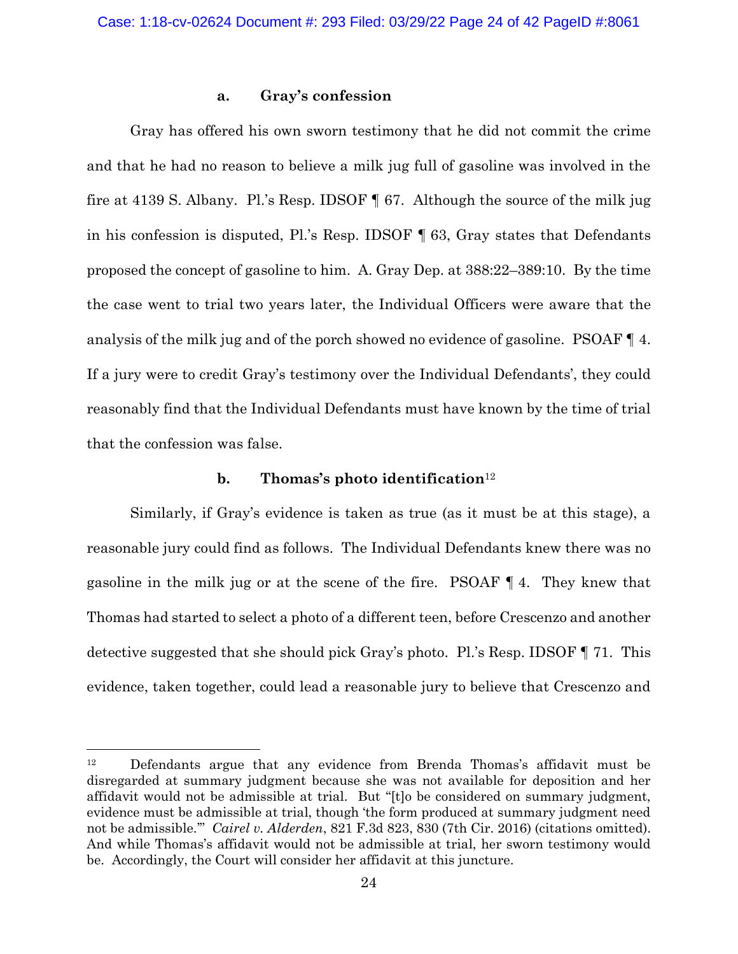## **a. Gray's confession**

Gray has offered his own sworn testimony that he did not commit the crime and that he had no reason to believe a milk jug full of gasoline was involved in the fire at 4139 S. Albany. Pl.'s Resp. IDSOF ¶ 67. Although the source of the milk jug in his confession is disputed, Pl.'s Resp. IDSOF ¶ 63, Gray states that Defendants proposed the concept of gasoline to him. A. Gray Dep. at 388:22–389:10. By the time the case went to trial two years later, the Individual Officers were aware that the analysis of the milk jug and of the porch showed no evidence of gasoline. PSOAF ¶ 4. If a jury were to credit Gray's testimony over the Individual Defendants', they could reasonably find that the Individual Defendants must have known by the time of trial that the confession was false.

### **b. Thomas's photo identification**<sup>12</sup>

Similarly, if Gray's evidence is taken as true (as it must be at this stage), a reasonable jury could find as follows. The Individual Defendants knew there was no gasoline in the milk jug or at the scene of the fire. PSOAF ¶ 4. They knew that Thomas had started to select a photo of a different teen, before Crescenzo and another detective suggested that she should pick Gray's photo. Pl.'s Resp. IDSOF ¶ 71. This evidence, taken together, could lead a reasonable jury to believe that Crescenzo and

<sup>12</sup> Defendants argue that any evidence from Brenda Thomas's affidavit must be disregarded at summary judgment because she was not available for deposition and her affidavit would not be admissible at trial. But "[t]o be considered on summary judgment, evidence must be admissible at trial, though 'the form produced at summary judgment need not be admissible.'" *Cairel v. Alderden*, 821 F.3d 823, 830 (7th Cir. 2016) (citations omitted). And while Thomas's affidavit would not be admissible at trial, her sworn testimony would be. Accordingly, the Court will consider her affidavit at this juncture.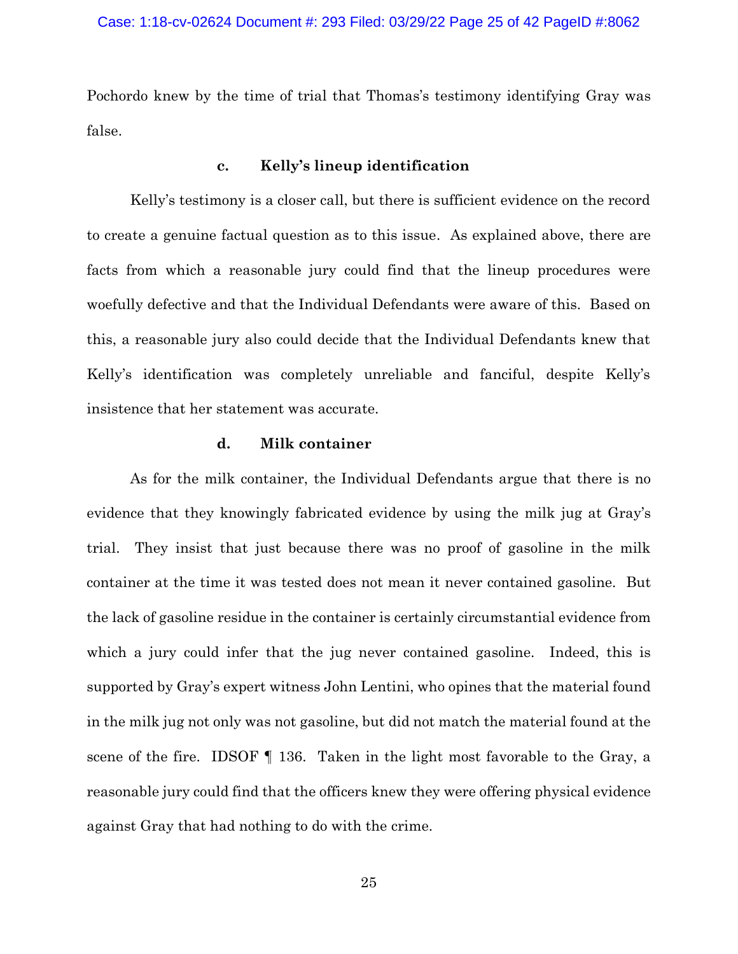Pochordo knew by the time of trial that Thomas's testimony identifying Gray was false.

### **c. Kelly's lineup identification**

Kelly's testimony is a closer call, but there is sufficient evidence on the record to create a genuine factual question as to this issue. As explained above, there are facts from which a reasonable jury could find that the lineup procedures were woefully defective and that the Individual Defendants were aware of this. Based on this, a reasonable jury also could decide that the Individual Defendants knew that Kelly's identification was completely unreliable and fanciful, despite Kelly's insistence that her statement was accurate.

## **d. Milk container**

As for the milk container, the Individual Defendants argue that there is no evidence that they knowingly fabricated evidence by using the milk jug at Gray's trial. They insist that just because there was no proof of gasoline in the milk container at the time it was tested does not mean it never contained gasoline. But the lack of gasoline residue in the container is certainly circumstantial evidence from which a jury could infer that the jug never contained gasoline. Indeed, this is supported by Gray's expert witness John Lentini, who opines that the material found in the milk jug not only was not gasoline, but did not match the material found at the scene of the fire. IDSOF ¶ 136. Taken in the light most favorable to the Gray, a reasonable jury could find that the officers knew they were offering physical evidence against Gray that had nothing to do with the crime.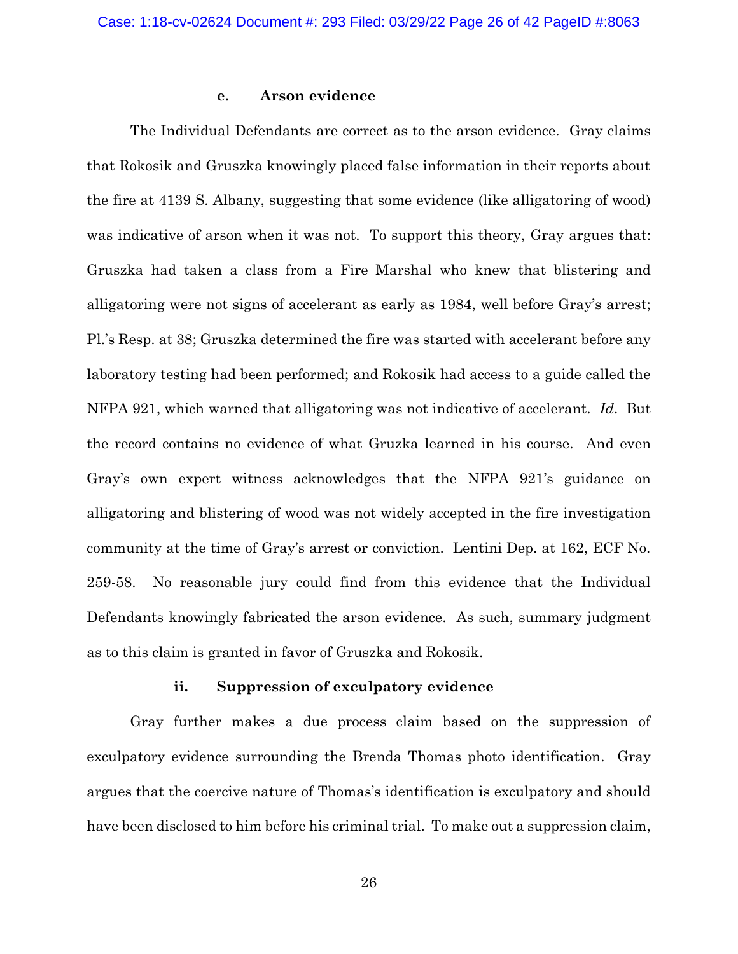### **e. Arson evidence**

The Individual Defendants are correct as to the arson evidence. Gray claims that Rokosik and Gruszka knowingly placed false information in their reports about the fire at 4139 S. Albany, suggesting that some evidence (like alligatoring of wood) was indicative of arson when it was not. To support this theory, Gray argues that: Gruszka had taken a class from a Fire Marshal who knew that blistering and alligatoring were not signs of accelerant as early as 1984, well before Gray's arrest; Pl.'s Resp. at 38; Gruszka determined the fire was started with accelerant before any laboratory testing had been performed; and Rokosik had access to a guide called the NFPA 921, which warned that alligatoring was not indicative of accelerant. *Id*. But the record contains no evidence of what Gruzka learned in his course. And even Gray's own expert witness acknowledges that the NFPA 921's guidance on alligatoring and blistering of wood was not widely accepted in the fire investigation community at the time of Gray's arrest or conviction. Lentini Dep. at 162, ECF No. 259-58. No reasonable jury could find from this evidence that the Individual Defendants knowingly fabricated the arson evidence. As such, summary judgment as to this claim is granted in favor of Gruszka and Rokosik.

### **ii. Suppression of exculpatory evidence**

Gray further makes a due process claim based on the suppression of exculpatory evidence surrounding the Brenda Thomas photo identification. Gray argues that the coercive nature of Thomas's identification is exculpatory and should have been disclosed to him before his criminal trial. To make out a suppression claim,

26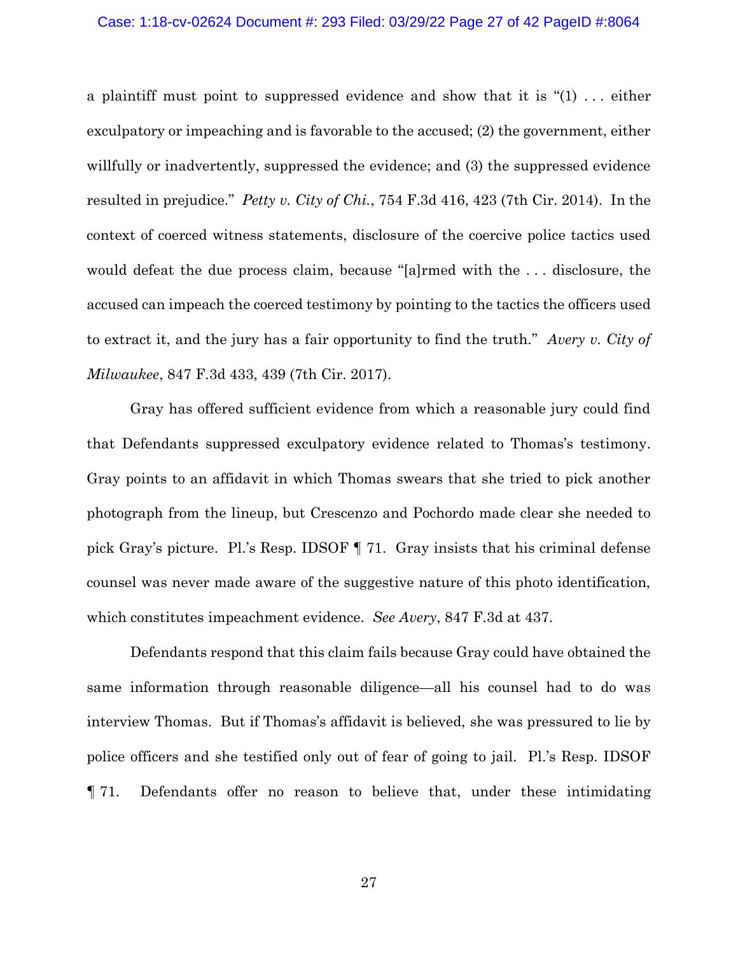#### Case: 1:18-cv-02624 Document #: 293 Filed: 03/29/22 Page 27 of 42 PageID #:8064

a plaintiff must point to suppressed evidence and show that it is " $(1)$ ... either exculpatory or impeaching and is favorable to the accused; (2) the government, either willfully or inadvertently, suppressed the evidence; and (3) the suppressed evidence resulted in prejudice." *Petty v. City of Chi.*, 754 F.3d 416, 423 (7th Cir. 2014). In the context of coerced witness statements, disclosure of the coercive police tactics used would defeat the due process claim, because "[a]rmed with the . . . disclosure, the accused can impeach the coerced testimony by pointing to the tactics the officers used to extract it, and the jury has a fair opportunity to find the truth." *Avery v. City of Milwaukee*, 847 F.3d 433, 439 (7th Cir. 2017).

Gray has offered sufficient evidence from which a reasonable jury could find that Defendants suppressed exculpatory evidence related to Thomas's testimony. Gray points to an affidavit in which Thomas swears that she tried to pick another photograph from the lineup, but Crescenzo and Pochordo made clear she needed to pick Gray's picture. Pl.'s Resp. IDSOF ¶ 71. Gray insists that his criminal defense counsel was never made aware of the suggestive nature of this photo identification, which constitutes impeachment evidence. *See Avery*, 847 F.3d at 437.

Defendants respond that this claim fails because Gray could have obtained the same information through reasonable diligence—all his counsel had to do was interview Thomas. But if Thomas's affidavit is believed, she was pressured to lie by police officers and she testified only out of fear of going to jail. Pl.'s Resp. IDSOF ¶ 71. Defendants offer no reason to believe that, under these intimidating

27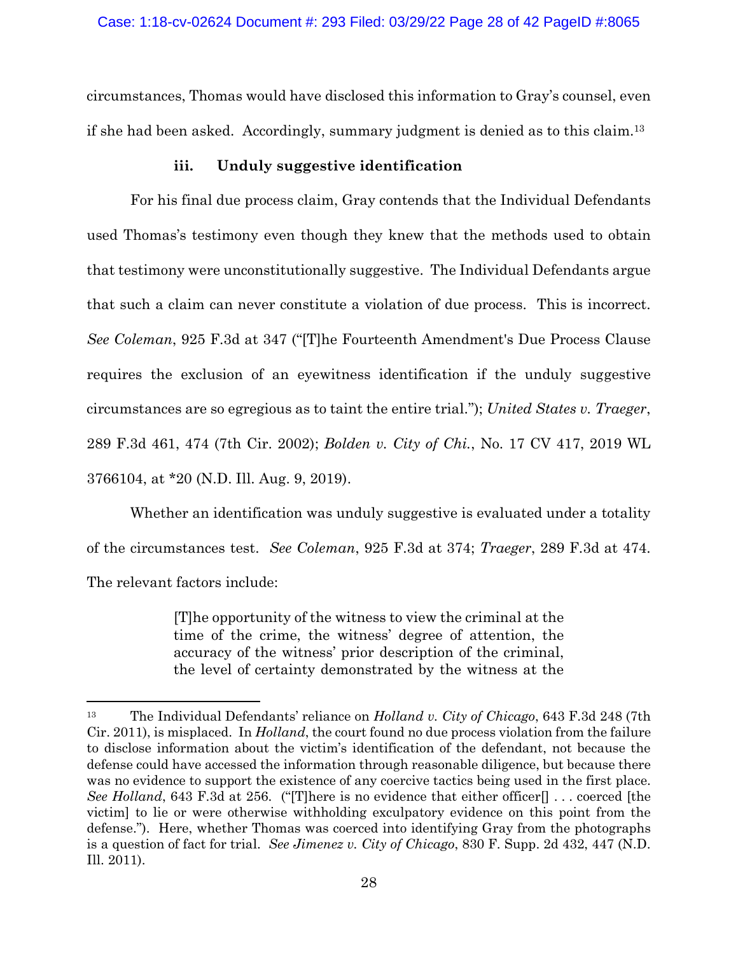circumstances, Thomas would have disclosed this information to Gray's counsel, even if she had been asked. Accordingly, summary judgment is denied as to this claim. <sup>13</sup>

## **iii. Unduly suggestive identification**

For his final due process claim, Gray contends that the Individual Defendants used Thomas's testimony even though they knew that the methods used to obtain that testimony were unconstitutionally suggestive. The Individual Defendants argue that such a claim can never constitute a violation of due process. This is incorrect. *See Coleman*, 925 F.3d at 347 ("[T]he Fourteenth Amendment's Due Process Clause requires the exclusion of an eyewitness identification if the unduly suggestive circumstances are so egregious as to taint the entire trial."); *United States v. Traeger*, 289 F.3d 461, 474 (7th Cir. 2002); *Bolden v. City of Chi.*, No. 17 CV 417, 2019 WL 3766104, at \*20 (N.D. Ill. Aug. 9, 2019).

Whether an identification was unduly suggestive is evaluated under a totality of the circumstances test. *See Coleman*, 925 F.3d at 374; *Traeger*, 289 F.3d at 474. The relevant factors include:

> [T]he opportunity of the witness to view the criminal at the time of the crime, the witness' degree of attention, the accuracy of the witness' prior description of the criminal, the level of certainty demonstrated by the witness at the

<sup>13</sup> The Individual Defendants' reliance on *Holland v. City of Chicago*, 643 F.3d 248 (7th Cir. 2011), is misplaced. In *Holland*, the court found no due process violation from the failure to disclose information about the victim's identification of the defendant, not because the defense could have accessed the information through reasonable diligence, but because there was no evidence to support the existence of any coercive tactics being used in the first place. *See Holland*, 643 F.3d at 256. ("[T]here is no evidence that either officer[] . . . coerced [the victim] to lie or were otherwise withholding exculpatory evidence on this point from the defense."). Here, whether Thomas was coerced into identifying Gray from the photographs is a question of fact for trial. *See Jimenez v. City of Chicago*, 830 F. Supp. 2d 432, 447 (N.D. Ill. 2011).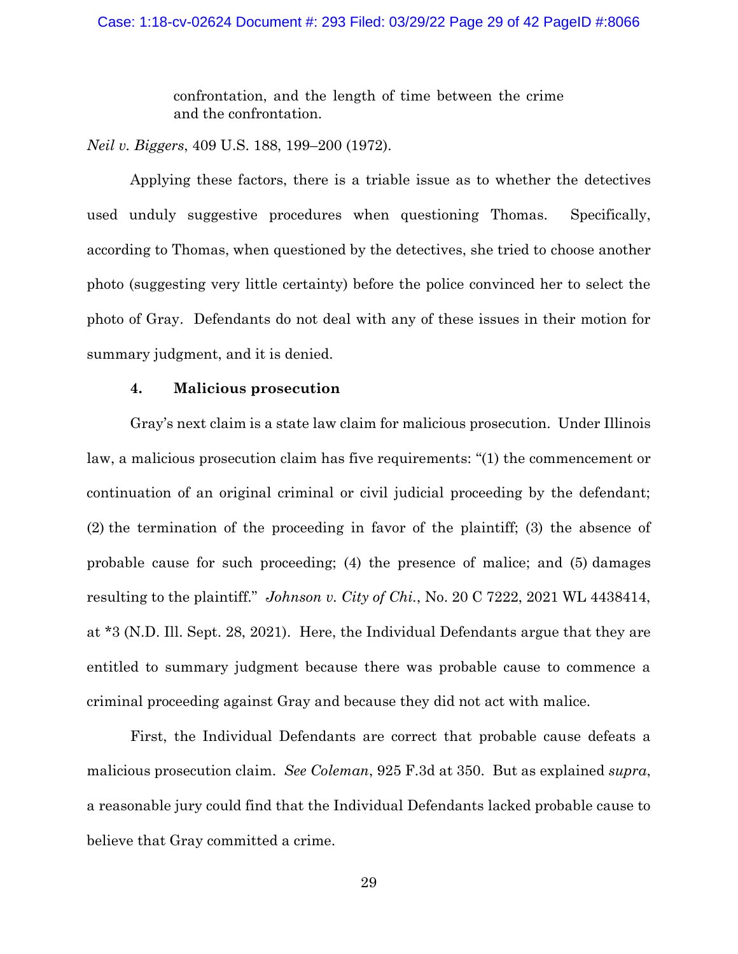confrontation, and the length of time between the crime and the confrontation.

*Neil v. Biggers*, 409 U.S. 188, 199–200 (1972).

Applying these factors, there is a triable issue as to whether the detectives used unduly suggestive procedures when questioning Thomas. Specifically, according to Thomas, when questioned by the detectives, she tried to choose another photo (suggesting very little certainty) before the police convinced her to select the photo of Gray. Defendants do not deal with any of these issues in their motion for summary judgment, and it is denied.

### **4. Malicious prosecution**

Gray's next claim is a state law claim for malicious prosecution. Under Illinois law, a malicious prosecution claim has five requirements: "(1) the commencement or continuation of an original criminal or civil judicial proceeding by the defendant; (2) the termination of the proceeding in favor of the plaintiff; (3) the absence of probable cause for such proceeding; (4) the presence of malice; and (5) damages resulting to the plaintiff." *Johnson v. City of Chi.*, No. 20 C 7222, 2021 WL 4438414, at \*3 (N.D. Ill. Sept. 28, 2021). Here, the Individual Defendants argue that they are entitled to summary judgment because there was probable cause to commence a criminal proceeding against Gray and because they did not act with malice.

First, the Individual Defendants are correct that probable cause defeats a malicious prosecution claim. *See Coleman*, 925 F.3d at 350. But as explained *supra*, a reasonable jury could find that the Individual Defendants lacked probable cause to believe that Gray committed a crime.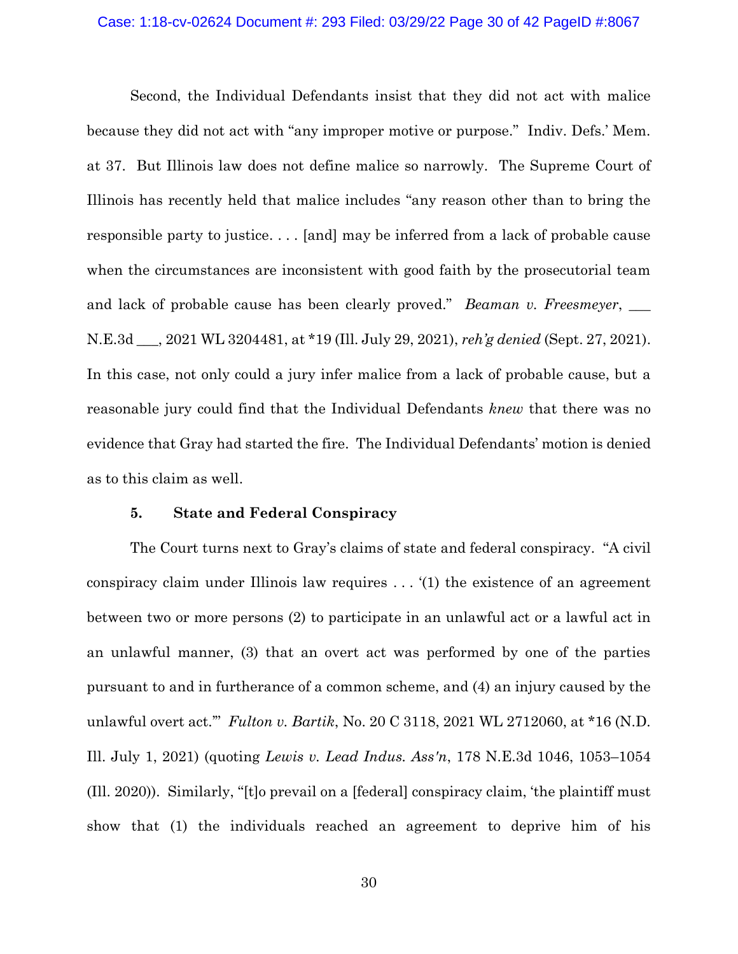#### Case: 1:18-cv-02624 Document #: 293 Filed: 03/29/22 Page 30 of 42 PageID #:8067

Second, the Individual Defendants insist that they did not act with malice because they did not act with "any improper motive or purpose." Indiv. Defs.' Mem. at 37. But Illinois law does not define malice so narrowly. The Supreme Court of Illinois has recently held that malice includes "any reason other than to bring the responsible party to justice. . . . [and] may be inferred from a lack of probable cause when the circumstances are inconsistent with good faith by the prosecutorial team and lack of probable cause has been clearly proved." *Beaman v. Freesmeyer*, N.E.3d \_\_\_, 2021 WL 3204481, at \*19 (Ill. July 29, 2021), *reh'g denied* (Sept. 27, 2021). In this case, not only could a jury infer malice from a lack of probable cause, but a reasonable jury could find that the Individual Defendants *knew* that there was no evidence that Gray had started the fire. The Individual Defendants' motion is denied as to this claim as well.

### **5. State and Federal Conspiracy**

The Court turns next to Gray's claims of state and federal conspiracy. "A civil conspiracy claim under Illinois law requires . . . '(1) the existence of an agreement between two or more persons (2) to participate in an unlawful act or a lawful act in an unlawful manner, (3) that an overt act was performed by one of the parties pursuant to and in furtherance of a common scheme, and (4) an injury caused by the unlawful overt act.'" *Fulton v. Bartik*, No. 20 C 3118, 2021 WL 2712060, at \*16 (N.D. Ill. July 1, 2021) (quoting *Lewis v. Lead Indus. Ass'n*, 178 N.E.3d 1046, 1053–1054 (Ill. 2020)). Similarly, "[t]o prevail on a [federal] conspiracy claim, 'the plaintiff must show that (1) the individuals reached an agreement to deprive him of his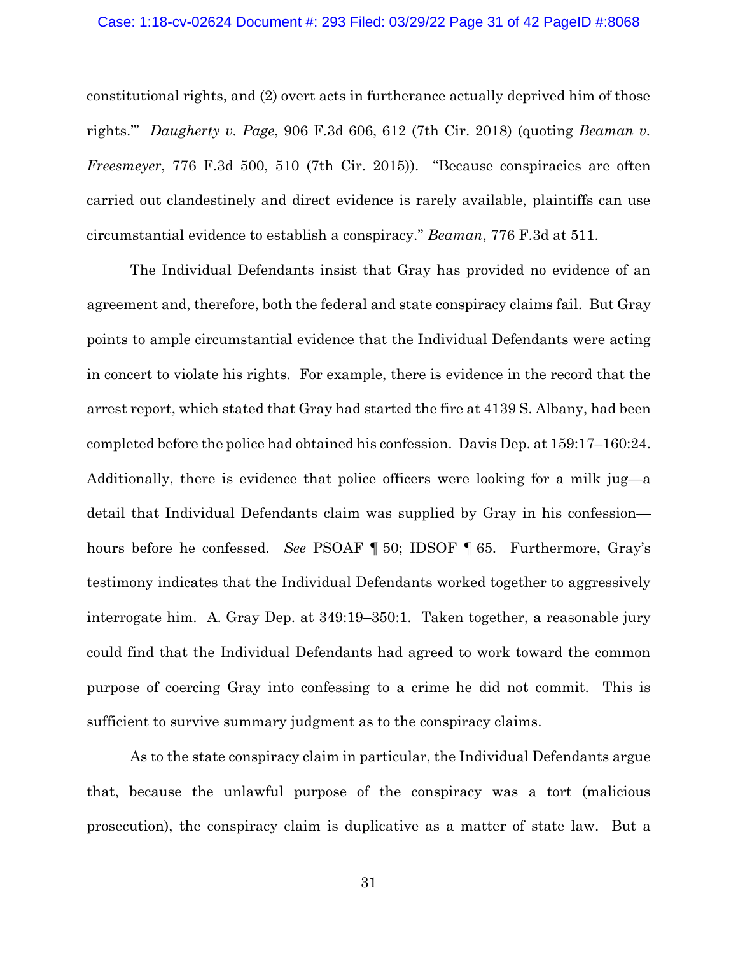### Case: 1:18-cv-02624 Document #: 293 Filed: 03/29/22 Page 31 of 42 PageID #:8068

constitutional rights, and (2) overt acts in furtherance actually deprived him of those rights.'" *Daugherty v. Page*, 906 F.3d 606, 612 (7th Cir. 2018) (quoting *Beaman v. Freesmeyer*, 776 F.3d 500, 510 (7th Cir. 2015)). "Because conspiracies are often carried out clandestinely and direct evidence is rarely available, plaintiffs can use circumstantial evidence to establish a conspiracy." *Beaman*, 776 F.3d at 511.

The Individual Defendants insist that Gray has provided no evidence of an agreement and, therefore, both the federal and state conspiracy claims fail. But Gray points to ample circumstantial evidence that the Individual Defendants were acting in concert to violate his rights. For example, there is evidence in the record that the arrest report, which stated that Gray had started the fire at 4139 S. Albany, had been completed before the police had obtained his confession. Davis Dep. at 159:17–160:24. Additionally, there is evidence that police officers were looking for a milk jug—a detail that Individual Defendants claim was supplied by Gray in his confession hours before he confessed. *See* PSOAF ¶ 50; IDSOF ¶ 65. Furthermore, Gray's testimony indicates that the Individual Defendants worked together to aggressively interrogate him. A. Gray Dep. at 349:19–350:1. Taken together, a reasonable jury could find that the Individual Defendants had agreed to work toward the common purpose of coercing Gray into confessing to a crime he did not commit. This is sufficient to survive summary judgment as to the conspiracy claims.

As to the state conspiracy claim in particular, the Individual Defendants argue that, because the unlawful purpose of the conspiracy was a tort (malicious prosecution), the conspiracy claim is duplicative as a matter of state law. But a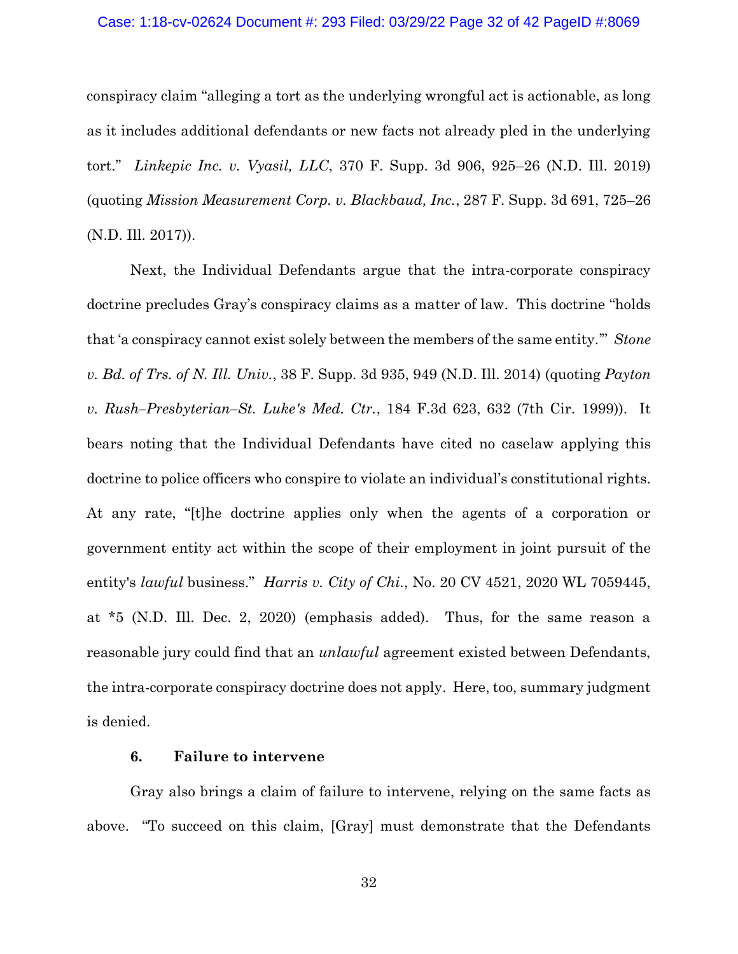#### Case: 1:18-cv-02624 Document #: 293 Filed: 03/29/22 Page 32 of 42 PageID #:8069

conspiracy claim "alleging a tort as the underlying wrongful act is actionable, as long as it includes additional defendants or new facts not already pled in the underlying tort." *Linkepic Inc. v. Vyasil, LLC*, 370 F. Supp. 3d 906, 925–26 (N.D. Ill. 2019) (quoting *Mission Measurement Corp. v. Blackbaud, Inc.*, 287 F. Supp. 3d 691, 725–26 (N.D. Ill. 2017)).

Next, the Individual Defendants argue that the intra-corporate conspiracy doctrine precludes Gray's conspiracy claims as a matter of law. This doctrine "holds that 'a conspiracy cannot exist solely between the members of the same entity.'" *Stone v. Bd. of Trs. of N. Ill. Univ.*, 38 F. Supp. 3d 935, 949 (N.D. Ill. 2014) (quoting *Payton v. Rush–Presbyterian–St. Luke's Med. Ctr.*, 184 F.3d 623, 632 (7th Cir. 1999)). It bears noting that the Individual Defendants have cited no caselaw applying this doctrine to police officers who conspire to violate an individual's constitutional rights. At any rate, "[t]he doctrine applies only when the agents of a corporation or government entity act within the scope of their employment in joint pursuit of the entity's *lawful* business." *Harris v. City of Chi.*, No. 20 CV 4521, 2020 WL 7059445, at \*5 (N.D. Ill. Dec. 2, 2020) (emphasis added). Thus, for the same reason a reasonable jury could find that an *unlawful* agreement existed between Defendants, the intra-corporate conspiracy doctrine does not apply. Here, too, summary judgment is denied.

### **6. Failure to intervene**

Gray also brings a claim of failure to intervene, relying on the same facts as above. "To succeed on this claim, [Gray] must demonstrate that the Defendants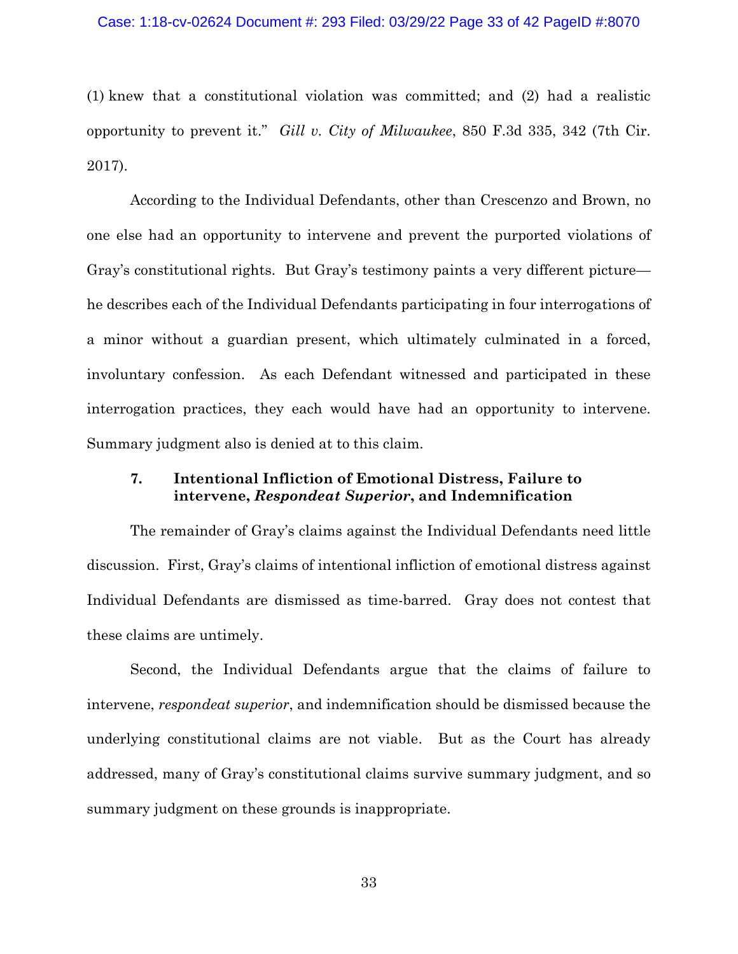#### Case: 1:18-cv-02624 Document #: 293 Filed: 03/29/22 Page 33 of 42 PageID #:8070

(1) knew that a constitutional violation was committed; and (2) had a realistic opportunity to prevent it." *Gill v. City of Milwaukee*, 850 F.3d 335, 342 (7th Cir. 2017).

According to the Individual Defendants, other than Crescenzo and Brown, no one else had an opportunity to intervene and prevent the purported violations of Gray's constitutional rights. But Gray's testimony paints a very different picture he describes each of the Individual Defendants participating in four interrogations of a minor without a guardian present, which ultimately culminated in a forced, involuntary confession. As each Defendant witnessed and participated in these interrogation practices, they each would have had an opportunity to intervene. Summary judgment also is denied at to this claim.

## **7. Intentional Infliction of Emotional Distress, Failure to intervene,** *Respondeat Superior***, and Indemnification**

The remainder of Gray's claims against the Individual Defendants need little discussion. First, Gray's claims of intentional infliction of emotional distress against Individual Defendants are dismissed as time-barred. Gray does not contest that these claims are untimely.

Second, the Individual Defendants argue that the claims of failure to intervene, *respondeat superior*, and indemnification should be dismissed because the underlying constitutional claims are not viable. But as the Court has already addressed, many of Gray's constitutional claims survive summary judgment, and so summary judgment on these grounds is inappropriate.

33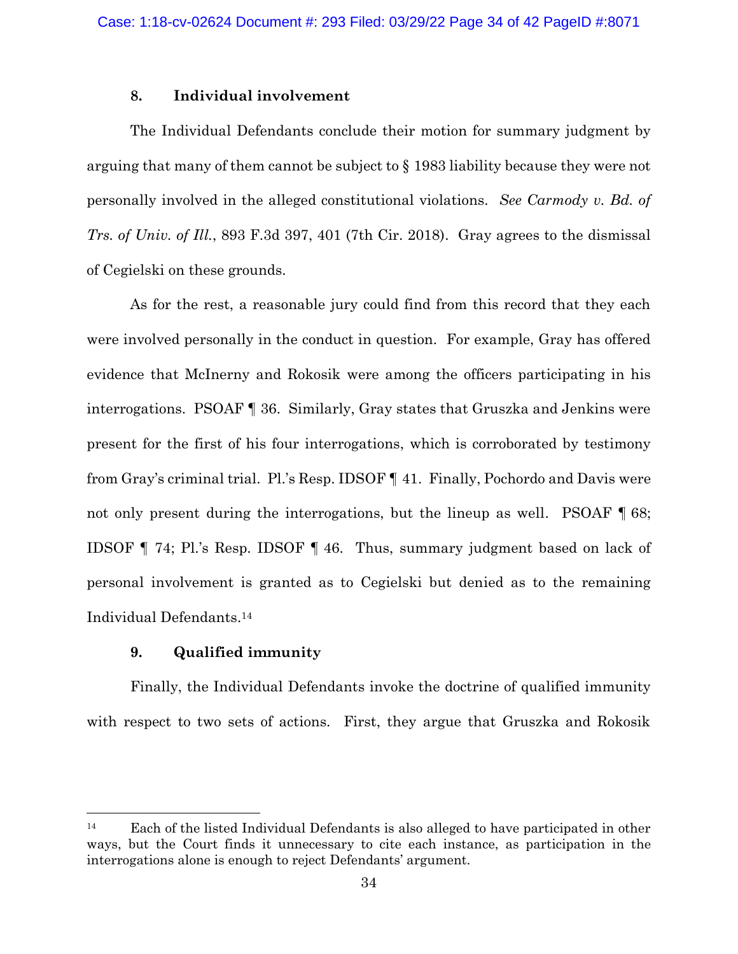## **8. Individual involvement**

The Individual Defendants conclude their motion for summary judgment by arguing that many of them cannot be subject to § 1983 liability because they were not personally involved in the alleged constitutional violations. *See Carmody v. Bd. of Trs. of Univ. of Ill.*, 893 F.3d 397, 401 (7th Cir. 2018). Gray agrees to the dismissal of Cegielski on these grounds.

As for the rest, a reasonable jury could find from this record that they each were involved personally in the conduct in question. For example, Gray has offered evidence that McInerny and Rokosik were among the officers participating in his interrogations. PSOAF ¶ 36. Similarly, Gray states that Gruszka and Jenkins were present for the first of his four interrogations, which is corroborated by testimony from Gray's criminal trial. Pl.'s Resp. IDSOF ¶ 41. Finally, Pochordo and Davis were not only present during the interrogations, but the lineup as well. PSOAF  $\llbracket 68; \llbracket 68; \llbracket 69; \llbracket 69; \llbracket 69; \llbracket 69; \llbracket 69; \llbracket 69; \llbracket 69; \llbracket 69; \llbracket 69; \llbracket 69; \llbracket 69; \llbracket 69; \llbracket 69; \llbracket 69; \llbracket 69; \llbracket 69; \llbr$ IDSOF ¶ 74; Pl.'s Resp. IDSOF ¶ 46. Thus, summary judgment based on lack of personal involvement is granted as to Cegielski but denied as to the remaining Individual Defendants. <sup>14</sup>

## **9. Qualified immunity**

Finally, the Individual Defendants invoke the doctrine of qualified immunity with respect to two sets of actions. First, they argue that Gruszka and Rokosik

<sup>14</sup> Each of the listed Individual Defendants is also alleged to have participated in other ways, but the Court finds it unnecessary to cite each instance, as participation in the interrogations alone is enough to reject Defendants' argument.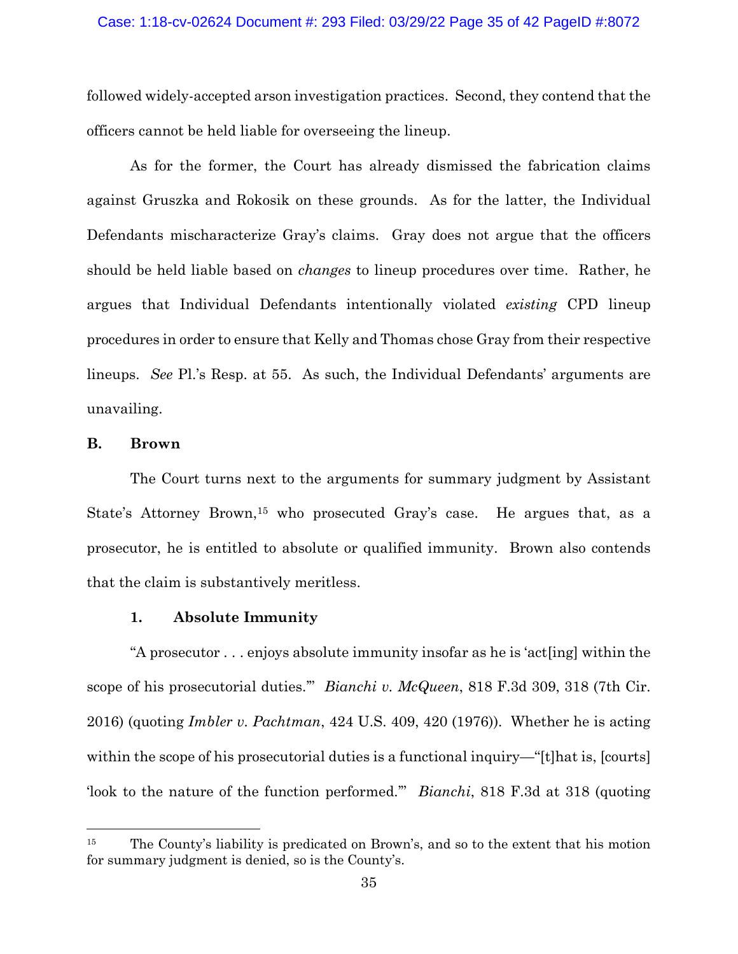#### Case: 1:18-cv-02624 Document #: 293 Filed: 03/29/22 Page 35 of 42 PageID #:8072

followed widely-accepted arson investigation practices. Second, they contend that the officers cannot be held liable for overseeing the lineup.

As for the former, the Court has already dismissed the fabrication claims against Gruszka and Rokosik on these grounds. As for the latter, the Individual Defendants mischaracterize Gray's claims. Gray does not argue that the officers should be held liable based on *changes* to lineup procedures over time. Rather, he argues that Individual Defendants intentionally violated *existing* CPD lineup procedures in order to ensure that Kelly and Thomas chose Gray from their respective lineups. *See* Pl.'s Resp. at 55. As such, the Individual Defendants' arguments are unavailing.

## **B. Brown**

The Court turns next to the arguments for summary judgment by Assistant State's Attorney Brown,<sup>15</sup> who prosecuted Gray's case. He argues that, as a prosecutor, he is entitled to absolute or qualified immunity. Brown also contends that the claim is substantively meritless.

### **1. Absolute Immunity**

"A prosecutor . . . enjoys absolute immunity insofar as he is 'act[ing] within the scope of his prosecutorial duties.'" *Bianchi v. McQueen*, 818 F.3d 309, 318 (7th Cir. 2016) (quoting *Imbler v. Pachtman*, 424 U.S. 409, 420 (1976)). Whether he is acting within the scope of his prosecutorial duties is a functional inquiry—"[t]hat is, [courts] 'look to the nature of the function performed.'" *Bianchi*, 818 F.3d at 318 (quoting

<sup>&</sup>lt;sup>15</sup> The County's liability is predicated on Brown's, and so to the extent that his motion for summary judgment is denied, so is the County's.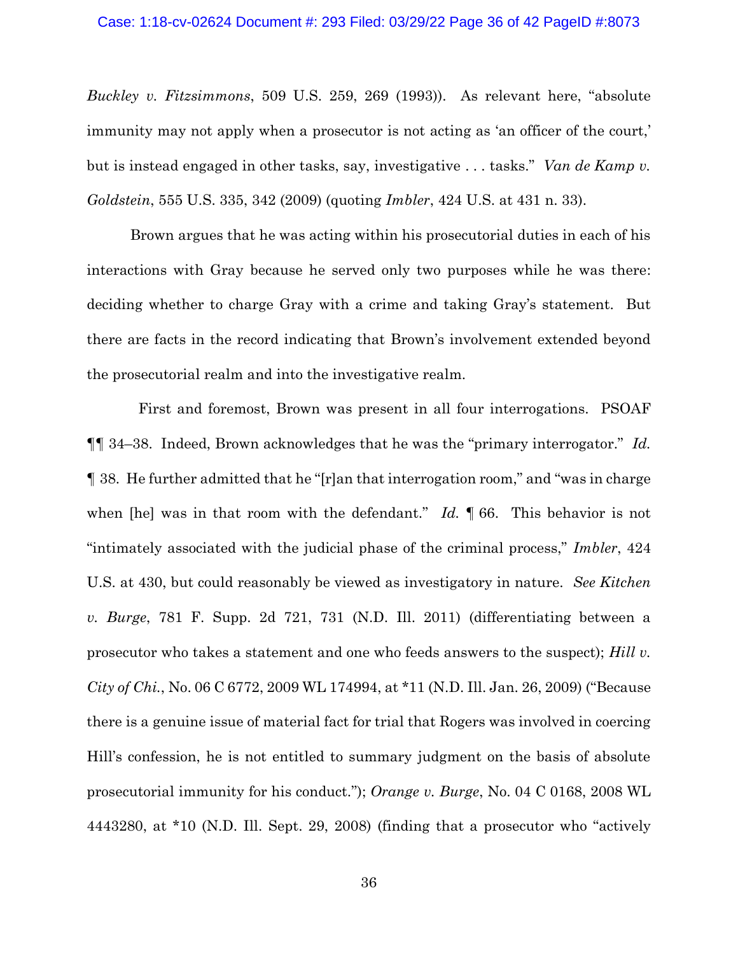#### Case: 1:18-cv-02624 Document #: 293 Filed: 03/29/22 Page 36 of 42 PageID #:8073

*Buckley v. Fitzsimmons*, 509 U.S. 259, 269 (1993)). As relevant here, "absolute immunity may not apply when a prosecutor is not acting as 'an officer of the court,' but is instead engaged in other tasks, say, investigative . . . tasks." *Van de Kamp v. Goldstein*, 555 U.S. 335, 342 (2009) (quoting *Imbler*, 424 U.S. at 431 n. 33).

Brown argues that he was acting within his prosecutorial duties in each of his interactions with Gray because he served only two purposes while he was there: deciding whether to charge Gray with a crime and taking Gray's statement. But there are facts in the record indicating that Brown's involvement extended beyond the prosecutorial realm and into the investigative realm.

 First and foremost, Brown was present in all four interrogations. PSOAF ¶¶ 34–38. Indeed, Brown acknowledges that he was the "primary interrogator." *Id.* ¶ 38. He further admitted that he "[r]an that interrogation room," and "was in charge when [he] was in that room with the defendant." *Id.* ¶ 66. This behavior is not "intimately associated with the judicial phase of the criminal process," *Imbler*, 424 U.S. at 430, but could reasonably be viewed as investigatory in nature. *See Kitchen v. Burge*, 781 F. Supp. 2d 721, 731 (N.D. Ill. 2011) (differentiating between a prosecutor who takes a statement and one who feeds answers to the suspect); *Hill v. City of Chi.*, No. 06 C 6772, 2009 WL 174994, at \*11 (N.D. Ill. Jan. 26, 2009) ("Because there is a genuine issue of material fact for trial that Rogers was involved in coercing Hill's confession, he is not entitled to summary judgment on the basis of absolute prosecutorial immunity for his conduct."); *Orange v. Burge*, No. 04 C 0168, 2008 WL 4443280, at \*10 (N.D. Ill. Sept. 29, 2008) (finding that a prosecutor who "actively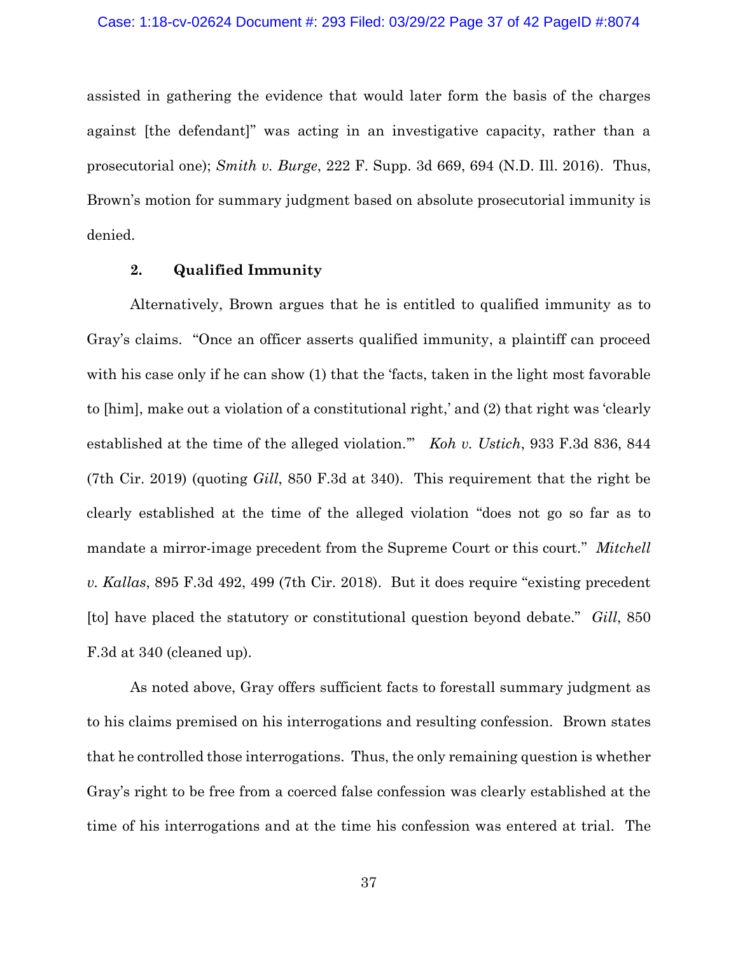assisted in gathering the evidence that would later form the basis of the charges against [the defendant]" was acting in an investigative capacity, rather than a prosecutorial one); *Smith v. Burge*, 222 F. Supp. 3d 669, 694 (N.D. Ill. 2016). Thus, Brown's motion for summary judgment based on absolute prosecutorial immunity is denied.

### **2. Qualified Immunity**

Alternatively, Brown argues that he is entitled to qualified immunity as to Gray's claims. "Once an officer asserts qualified immunity, a plaintiff can proceed with his case only if he can show (1) that the 'facts, taken in the light most favorable to [him], make out a violation of a constitutional right,' and (2) that right was 'clearly established at the time of the alleged violation.'" *Koh v. Ustich*, 933 F.3d 836, 844 (7th Cir. 2019) (quoting *Gill*, 850 F.3d at 340). This requirement that the right be clearly established at the time of the alleged violation "does not go so far as to mandate a mirror-image precedent from the Supreme Court or this court." *Mitchell v. Kallas*, 895 F.3d 492, 499 (7th Cir. 2018). But it does require "existing precedent [to] have placed the statutory or constitutional question beyond debate." *Gill*, 850 F.3d at 340 (cleaned up).

As noted above, Gray offers sufficient facts to forestall summary judgment as to his claims premised on his interrogations and resulting confession. Brown states that he controlled those interrogations. Thus, the only remaining question is whether Gray's right to be free from a coerced false confession was clearly established at the time of his interrogations and at the time his confession was entered at trial. The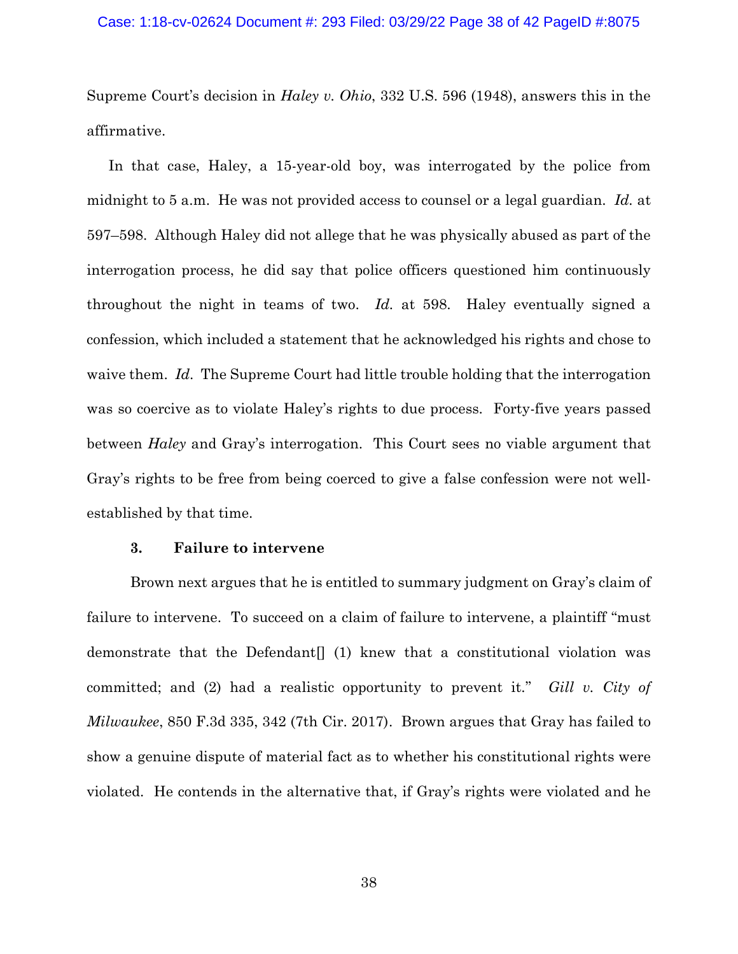#### Case: 1:18-cv-02624 Document #: 293 Filed: 03/29/22 Page 38 of 42 PageID #:8075

Supreme Court's decision in *Haley v. Ohio*, 332 U.S. 596 (1948), answers this in the affirmative.

In that case, Haley, a 15-year-old boy, was interrogated by the police from midnight to 5 a.m. He was not provided access to counsel or a legal guardian. *Id.* at 597–598. Although Haley did not allege that he was physically abused as part of the interrogation process, he did say that police officers questioned him continuously throughout the night in teams of two. *Id.* at 598. Haley eventually signed a confession, which included a statement that he acknowledged his rights and chose to waive them. *Id*. The Supreme Court had little trouble holding that the interrogation was so coercive as to violate Haley's rights to due process. Forty-five years passed between *Haley* and Gray's interrogation. This Court sees no viable argument that Gray's rights to be free from being coerced to give a false confession were not wellestablished by that time.

### **3. Failure to intervene**

Brown next argues that he is entitled to summary judgment on Gray's claim of failure to intervene. To succeed on a claim of failure to intervene, a plaintiff "must demonstrate that the Defendant  $(1)$  knew that a constitutional violation was committed; and (2) had a realistic opportunity to prevent it." *Gill v. City of Milwaukee*, 850 F.3d 335, 342 (7th Cir. 2017). Brown argues that Gray has failed to show a genuine dispute of material fact as to whether his constitutional rights were violated. He contends in the alternative that, if Gray's rights were violated and he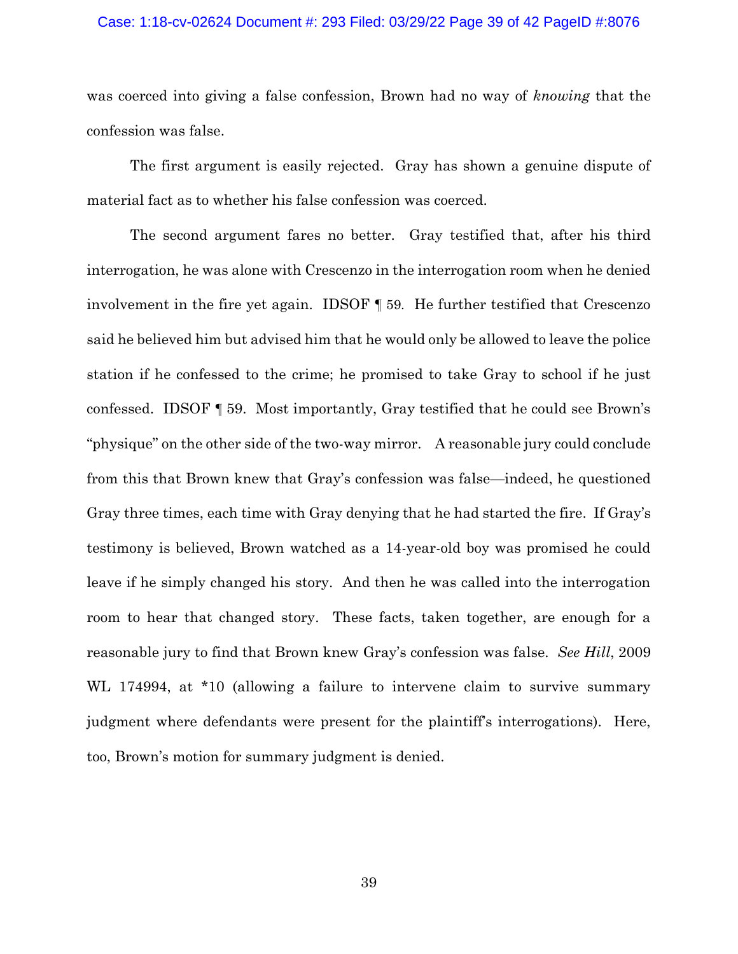#### Case: 1:18-cv-02624 Document #: 293 Filed: 03/29/22 Page 39 of 42 PageID #:8076

was coerced into giving a false confession, Brown had no way of *knowing* that the confession was false.

The first argument is easily rejected. Gray has shown a genuine dispute of material fact as to whether his false confession was coerced.

The second argument fares no better. Gray testified that, after his third interrogation, he was alone with Crescenzo in the interrogation room when he denied involvement in the fire yet again. IDSOF ¶ 59. He further testified that Crescenzo said he believed him but advised him that he would only be allowed to leave the police station if he confessed to the crime; he promised to take Gray to school if he just confessed. IDSOF ¶ 59. Most importantly, Gray testified that he could see Brown's "physique" on the other side of the two-way mirror. A reasonable jury could conclude from this that Brown knew that Gray's confession was false—indeed, he questioned Gray three times, each time with Gray denying that he had started the fire. If Gray's testimony is believed, Brown watched as a 14-year-old boy was promised he could leave if he simply changed his story. And then he was called into the interrogation room to hear that changed story. These facts, taken together, are enough for a reasonable jury to find that Brown knew Gray's confession was false. *See Hill*, 2009 WL 174994, at \*10 (allowing a failure to intervene claim to survive summary judgment where defendants were present for the plaintiff's interrogations). Here, too, Brown's motion for summary judgment is denied.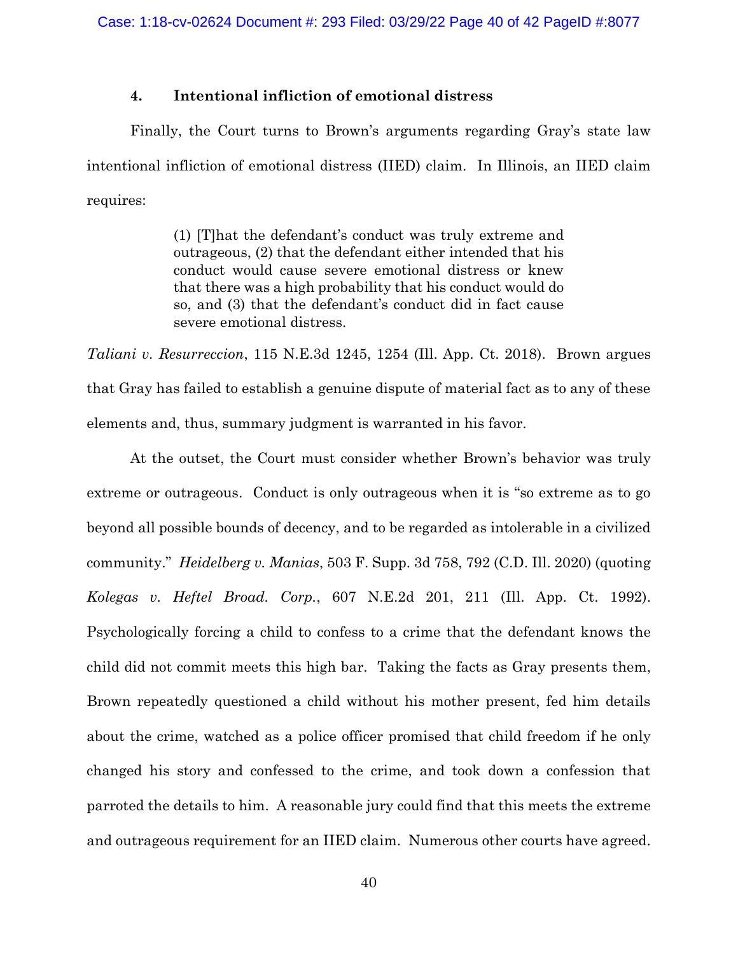## **4. Intentional infliction of emotional distress**

Finally, the Court turns to Brown's arguments regarding Gray's state law intentional infliction of emotional distress (IIED) claim. In Illinois, an IIED claim requires:

> (1) [T]hat the defendant's conduct was truly extreme and outrageous, (2) that the defendant either intended that his conduct would cause severe emotional distress or knew that there was a high probability that his conduct would do so, and (3) that the defendant's conduct did in fact cause severe emotional distress.

*Taliani v. Resurreccion*, 115 N.E.3d 1245, 1254 (Ill. App. Ct. 2018). Brown argues that Gray has failed to establish a genuine dispute of material fact as to any of these elements and, thus, summary judgment is warranted in his favor.

At the outset, the Court must consider whether Brown's behavior was truly extreme or outrageous. Conduct is only outrageous when it is "so extreme as to go beyond all possible bounds of decency, and to be regarded as intolerable in a civilized community." *Heidelberg v. Manias*, 503 F. Supp. 3d 758, 792 (C.D. Ill. 2020) (quoting *Kolegas v. Heftel Broad. Corp.*, 607 N.E.2d 201, 211 (Ill. App. Ct. 1992). Psychologically forcing a child to confess to a crime that the defendant knows the child did not commit meets this high bar. Taking the facts as Gray presents them, Brown repeatedly questioned a child without his mother present, fed him details about the crime, watched as a police officer promised that child freedom if he only changed his story and confessed to the crime, and took down a confession that parroted the details to him. A reasonable jury could find that this meets the extreme and outrageous requirement for an IIED claim. Numerous other courts have agreed.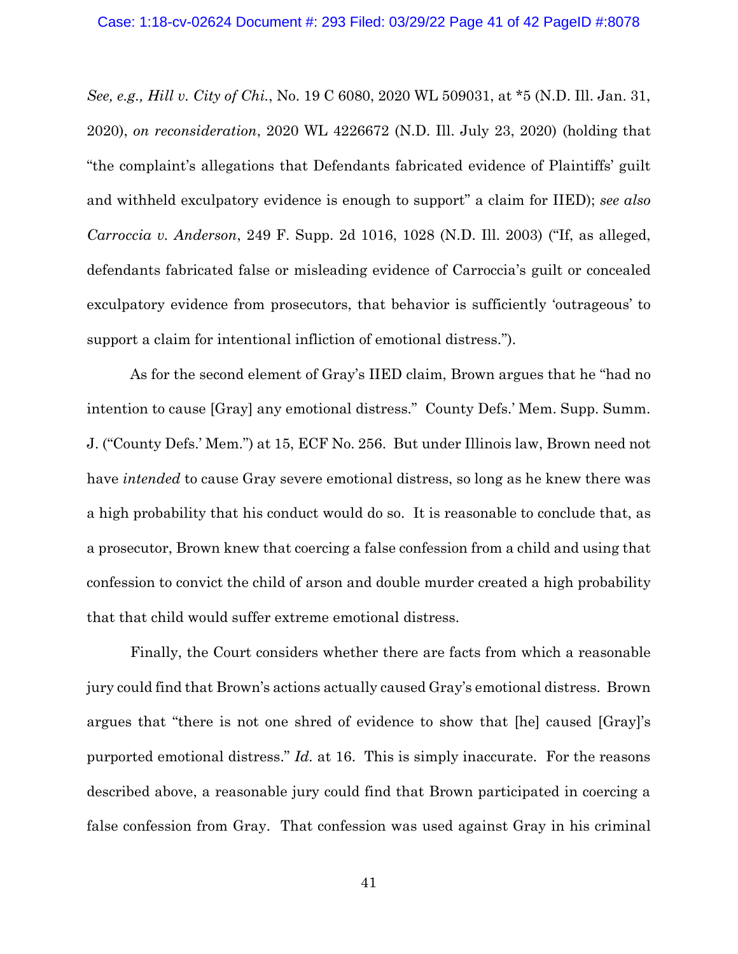*See, e.g., Hill v. City of Chi.*, No. 19 C 6080, 2020 WL 509031, at \*5 (N.D. Ill. Jan. 31, 2020), *on reconsideration*, 2020 WL 4226672 (N.D. Ill. July 23, 2020) (holding that "the complaint's allegations that Defendants fabricated evidence of Plaintiffs' guilt and withheld exculpatory evidence is enough to support" a claim for IIED); *see also Carroccia v. Anderson*, 249 F. Supp. 2d 1016, 1028 (N.D. Ill. 2003) ("If, as alleged, defendants fabricated false or misleading evidence of Carroccia's guilt or concealed exculpatory evidence from prosecutors, that behavior is sufficiently 'outrageous' to support a claim for intentional infliction of emotional distress.").

As for the second element of Gray's IIED claim, Brown argues that he "had no intention to cause [Gray] any emotional distress." County Defs.' Mem. Supp. Summ. J. ("County Defs.' Mem.") at 15, ECF No. 256. But under Illinois law, Brown need not have *intended* to cause Gray severe emotional distress, so long as he knew there was a high probability that his conduct would do so. It is reasonable to conclude that, as a prosecutor, Brown knew that coercing a false confession from a child and using that confession to convict the child of arson and double murder created a high probability that that child would suffer extreme emotional distress.

Finally, the Court considers whether there are facts from which a reasonable jury could find that Brown's actions actually caused Gray's emotional distress. Brown argues that "there is not one shred of evidence to show that [he] caused [Gray]'s purported emotional distress." *Id.* at 16. This is simply inaccurate. For the reasons described above, a reasonable jury could find that Brown participated in coercing a false confession from Gray. That confession was used against Gray in his criminal